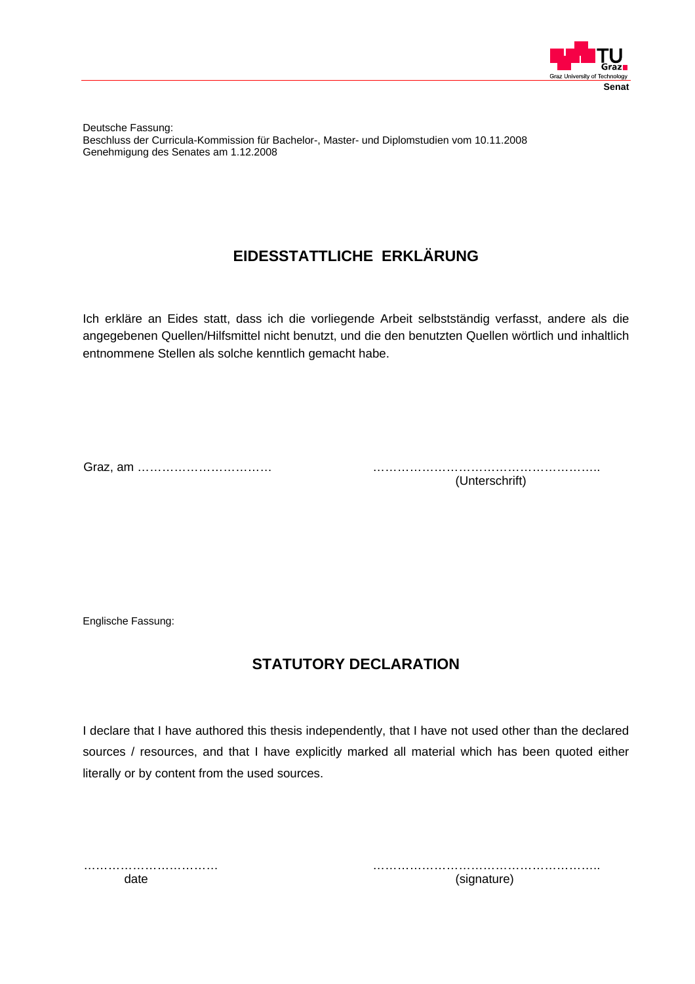

Deutsche Fassung: Beschluss der Curricula-Kommission für Bachelor-, Master- und Diplomstudien vom 10.11.2008 Genehmigung des Senates am 1.12.2008

# **EIDESSTATTLICHE ERKLÄRUNG**

Ich erkläre an Eides statt, dass ich die vorliegende Arbeit selbstständig verfasst, andere als die angegebenen Quellen/Hilfsmittel nicht benutzt, und die den benutzten Quellen wörtlich und inhaltlich entnommene Stellen als solche kenntlich gemacht habe.

Graz, am …………………………… ………………………………………………..

(Unterschrift)

Englische Fassung:

## **STATUTORY DECLARATION**

I declare that I have authored this thesis independently, that I have not used other than the declared sources / resources, and that I have explicitly marked all material which has been quoted either literally or by content from the used sources.

…………………………… ……………………………………………….. date (signature)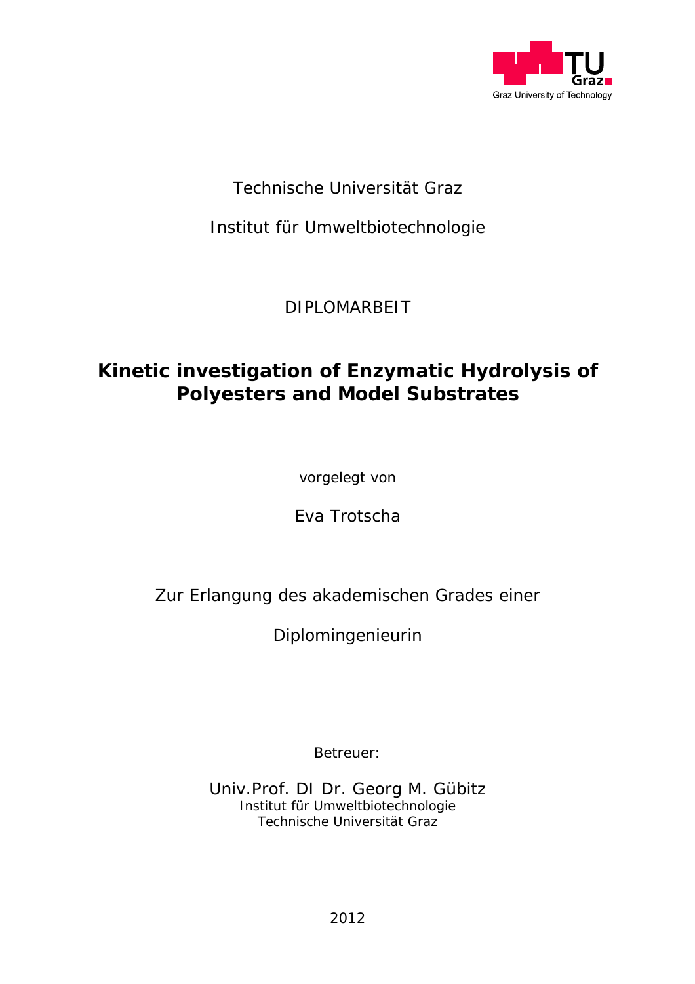

# Technische Universität Graz

Institut für Umweltbiotechnologie

DIPLOMARBEIT

# **Kinetic investigation of Enzymatic Hydrolysis of Polyesters and Model Substrates**

vorgelegt von

Eva Trotscha

Zur Erlangung des akademischen Grades einer

Diplomingenieurin

Betreuer:

Univ.Prof. DI Dr. Georg M. Gübitz Institut für Umweltbiotechnologie Technische Universität Graz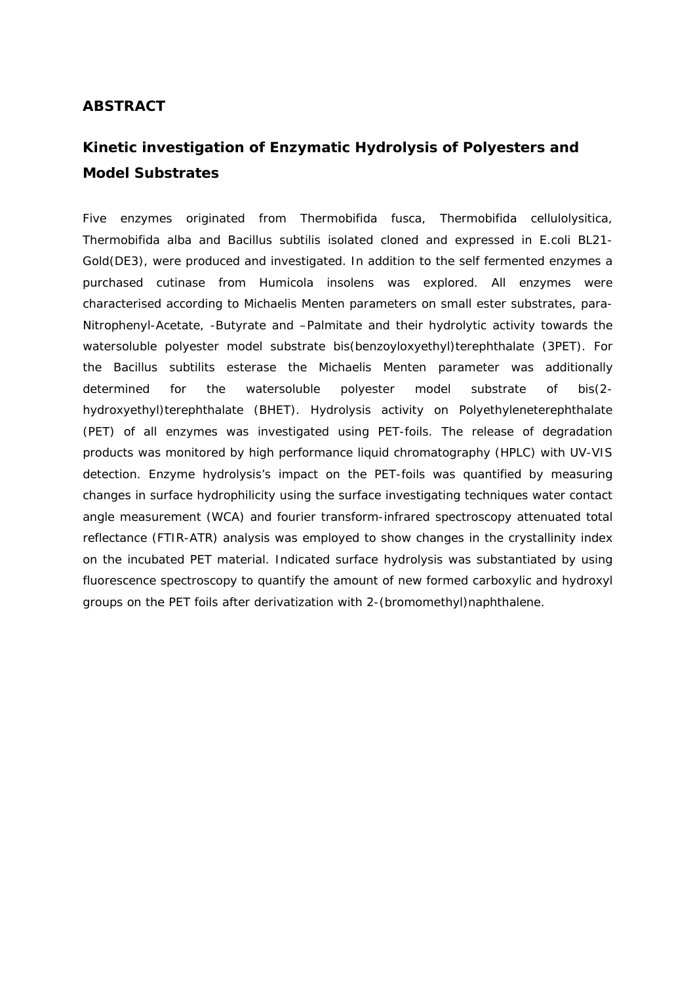### **ABSTRACT**

## **Kinetic investigation of Enzymatic Hydrolysis of Polyesters and Model Substrates**

Five enzymes originated from *Thermobifida fusca*, *Thermobifida cellulolysitica*, *Thermobifida alba* and *Bacillus subtilis* isolated cloned and expressed *in E.coli* BL21- Gold(DE3), were produced and investigated. In addition to the self fermented enzymes a purchased cutinase from *Humicola insolens* was explored. All enzymes were characterised according to Michaelis Menten parameters on small ester substrates, *para*-Nitrophenyl-Acetate, -Butyrate and –Palmitate and their hydrolytic activity towards the watersoluble polyester model substrate bis(benzoyloxyethyl)terephthalate (3PET). For the *Bacillus subtilits* esterase the Michaelis Menten parameter was additionally determined for the watersoluble polyester model substrate of bis(2 hydroxyethyl)terephthalate (BHET). Hydrolysis activity on Polyethyleneterephthalate (PET) of all enzymes was investigated using PET-foils. The release of degradation products was monitored by high performance liquid chromatography (HPLC) with UV-VIS detection. Enzyme hydrolysis's impact on the PET-foils was quantified by measuring changes in surface hydrophilicity using the surface investigating techniques water contact angle measurement (WCA) and fourier transform-infrared spectroscopy attenuated total reflectance (FTIR-ATR) analysis was employed to show changes in the crystallinity index on the incubated PET material. Indicated surface hydrolysis was substantiated by using fluorescence spectroscopy to quantify the amount of new formed carboxylic and hydroxyl groups on the PET foils after derivatization with 2-(bromomethyl)naphthalene.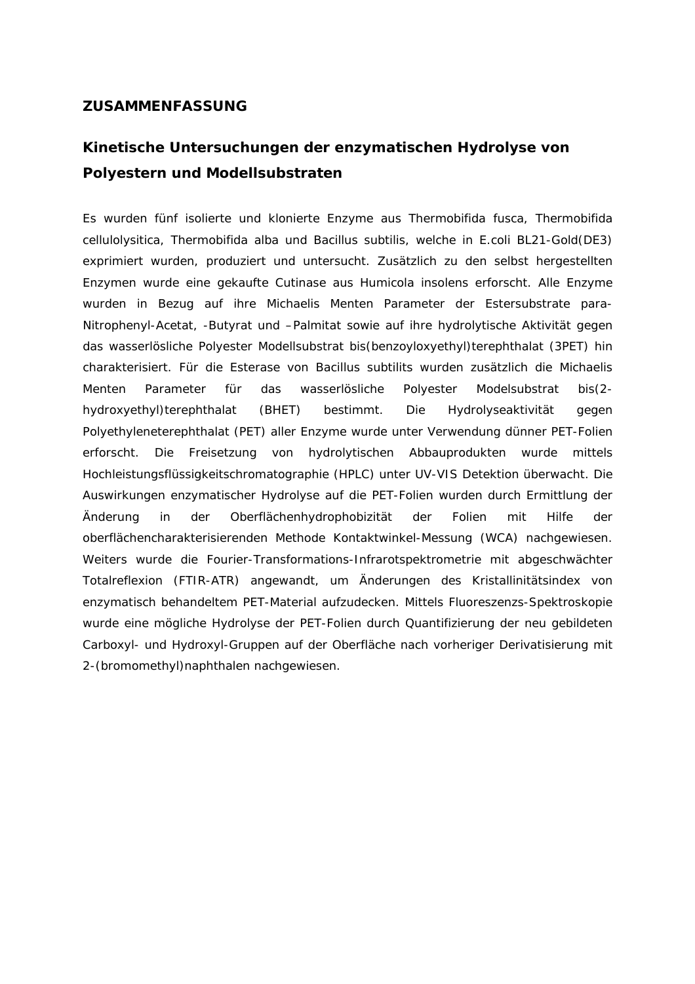#### **ZUSAMMENFASSUNG**

# **Kinetische Untersuchungen der enzymatischen Hydrolyse von Polyestern und Modellsubstraten**

Es wurden fünf isolierte und klonierte Enzyme aus *Thermobifida fusca*, *Thermobifida cellulolysitica*, *Thermobifida alba* und *Bacillus subtilis*, welche in *E.coli* BL21-Gold(DE3) exprimiert wurden, produziert und untersucht. Zusätzlich zu den selbst hergestellten Enzymen wurde eine gekaufte Cutinase aus *Humicola insolens* erforscht. Alle Enzyme wurden in Bezug auf ihre Michaelis Menten Parameter der Estersubstrate *para*-Nitrophenyl-Acetat, -Butyrat und –Palmitat sowie auf ihre hydrolytische Aktivität gegen das wasserlösliche Polyester Modellsubstrat bis(benzoyloxyethyl)terephthalat (3PET) hin charakterisiert. Für die Esterase von *Bacillus subtilits* wurden zusätzlich die Michaelis Menten Parameter für das wasserlösliche Polyester Modelsubstrat bis(2 hydroxyethyl)terephthalat (BHET) bestimmt. Die Hydrolyseaktivität gegen Polyethyleneterephthalat (PET) aller Enzyme wurde unter Verwendung dünner PET-Folien erforscht. Die Freisetzung von hydrolytischen Abbauprodukten wurde mittels Hochleistungsflüssigkeitschromatographie (HPLC) unter UV-VIS Detektion überwacht. Die Auswirkungen enzymatischer Hydrolyse auf die PET-Folien wurden durch Ermittlung der Änderung in der Oberflächenhydrophobizität der Folien mit Hilfe der oberflächencharakterisierenden Methode Kontaktwinkel-Messung (WCA) nachgewiesen. Weiters wurde die Fourier-Transformations-Infrarotspektrometrie mit abgeschwächter Totalreflexion (FTIR-ATR) angewandt, um Änderungen des Kristallinitätsindex von enzymatisch behandeltem PET-Material aufzudecken. Mittels Fluoreszenzs-Spektroskopie wurde eine mögliche Hydrolyse der PET-Folien durch Quantifizierung der neu gebildeten Carboxyl- und Hydroxyl-Gruppen auf der Oberfläche nach vorheriger Derivatisierung mit 2-(bromomethyl)naphthalen nachgewiesen.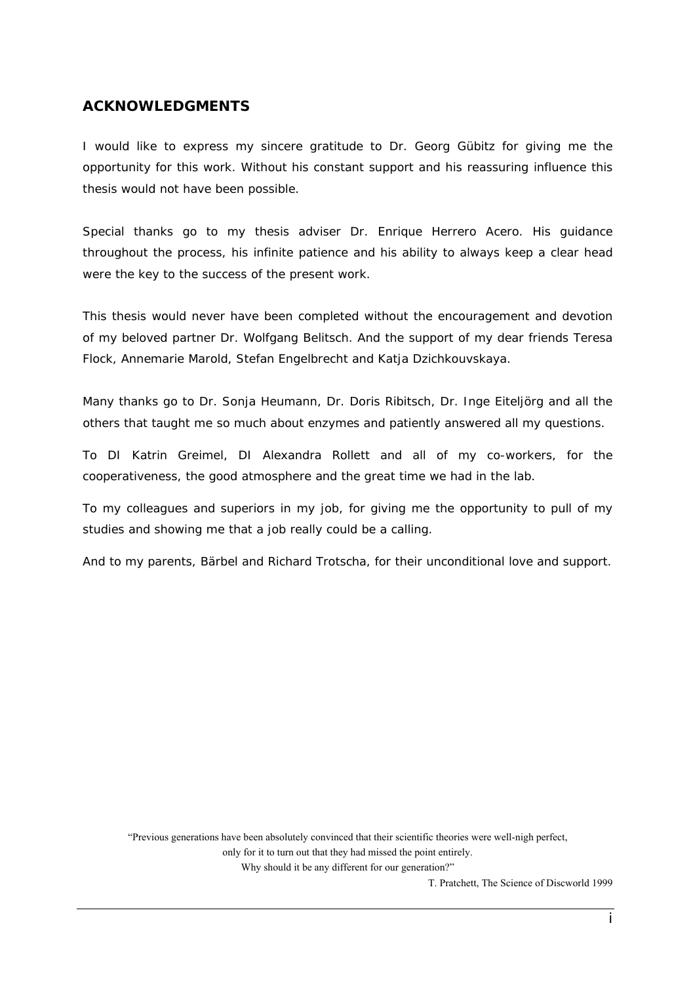### **ACKNOWLEDGMENTS**

I would like to express my sincere gratitude to Dr. Georg Gübitz for giving me the opportunity for this work. Without his constant support and his reassuring influence this thesis would not have been possible.

Special thanks go to my thesis adviser Dr. Enrique Herrero Acero. His guidance throughout the process, his infinite patience and his ability to always keep a clear head were the key to the success of the present work.

This thesis would never have been completed without the encouragement and devotion of my beloved partner Dr. Wolfgang Belitsch. And the support of my dear friends Teresa Flock, Annemarie Marold, Stefan Engelbrecht and Katja Dzichkouvskaya.

Many thanks go to Dr. Sonja Heumann, Dr. Doris Ribitsch, Dr. Inge Eiteljörg and all the others that taught me so much about enzymes and patiently answered all my questions.

To DI Katrin Greimel, DI Alexandra Rollett and all of my co-workers, for the cooperativeness, the good atmosphere and the great time we had in the lab.

To my colleagues and superiors in my job, for giving me the opportunity to pull of my studies and showing me that a job really could be a calling.

And to my parents, Bärbel and Richard Trotscha, for their unconditional love and support.

"Previous generations have been absolutely convinced that their scientific theories were well-nigh perfect,

only for it to turn out that they had missed the point entirely.

Why should it be any different for our generation?"

T. Pratchett, The Science of Discworld 1999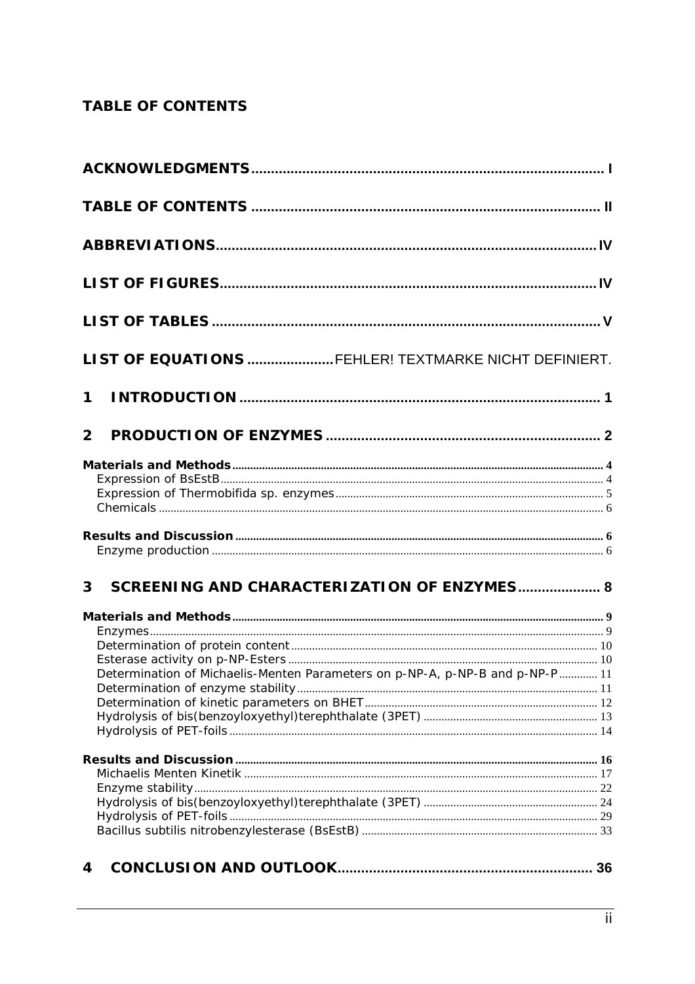## **TABLE OF CONTENTS**

|                | LIST OF EQUATIONS FEHLER! TEXTMARKE NICHT DEFINIERT.                         |  |
|----------------|------------------------------------------------------------------------------|--|
| $\mathbf 1$    |                                                                              |  |
| $\overline{2}$ |                                                                              |  |
|                |                                                                              |  |
|                |                                                                              |  |
|                |                                                                              |  |
|                |                                                                              |  |
|                |                                                                              |  |
| $\overline{3}$ | SCREENING AND CHARACTERIZATION OF ENZYMES 8                                  |  |
|                |                                                                              |  |
|                |                                                                              |  |
|                |                                                                              |  |
|                |                                                                              |  |
|                | Determination of Michaelis-Menten Parameters on p-NP-A, p-NP-B and p-NP-P 11 |  |
|                |                                                                              |  |
|                |                                                                              |  |
|                |                                                                              |  |
|                |                                                                              |  |
|                |                                                                              |  |
|                |                                                                              |  |
|                |                                                                              |  |
|                |                                                                              |  |
| 4              |                                                                              |  |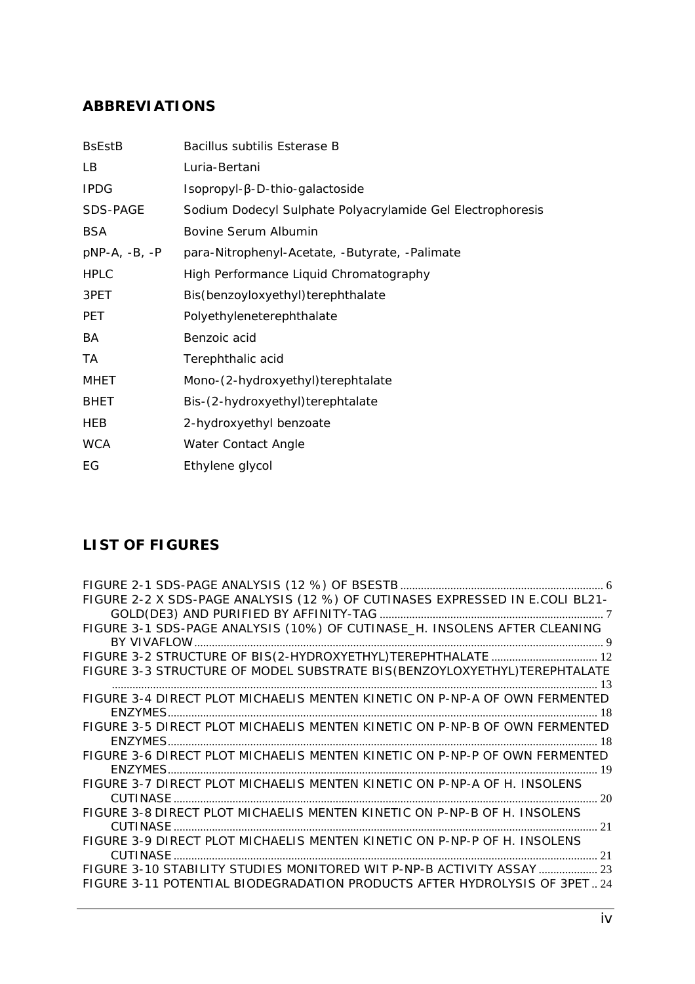## **ABBREVIATIONS**

| <b>B</b> sEstB  | <i>Bacillus subtilis</i> Esterase B                        |
|-----------------|------------------------------------------------------------|
| LB.             | Luria-Bertani                                              |
| <b>IPDG</b>     | $Isopropyl-\beta-D-thio-galactoside$                       |
| SDS-PAGE        | Sodium Dodecyl Sulphate Polyacrylamide Gel Electrophoresis |
| <b>BSA</b>      | Bovine Serum Albumin                                       |
| $pNP-A, -B, -P$ | <i>para</i> -Nitrophenyl-Acetate, -Butyrate, -Palimate     |
| <b>HPLC</b>     | High Performance Liquid Chromatography                     |
| 3PET            | Bis(benzoyloxyethyl)terephthalate                          |
| <b>PET</b>      | Polyethyleneterephthalate                                  |
| BA              | Benzoic acid                                               |
| ТA              | Terephthalic acid                                          |
| <b>MHET</b>     | Mono-(2-hydroxyethyl)terephtalate                          |
| <b>BHET</b>     | Bis-(2-hydroxyethyl)terephtalate                           |
| HEB             | 2-hydroxyethyl benzoate                                    |
| <b>WCA</b>      | Water Contact Angle                                        |
| EG              | Ethylene glycol                                            |
|                 |                                                            |

## **LIST OF FIGURES**

| FIGURE 2-2 X SDS-PAGE ANALYSIS (12 %) OF CUTINASES EXPRESSED IN E.COLI BL21- |    |
|------------------------------------------------------------------------------|----|
|                                                                              |    |
| FIGURE 3-1 SDS-PAGE ANALYSIS (10%) OF CUTINASE_H. INSOLENS AFTER CLEANING    |    |
|                                                                              |    |
|                                                                              |    |
| FIGURE 3-3 STRUCTURE OF MODEL SUBSTRATE BIS(BENZOYLOXYETHYL)TEREPHTALATE     |    |
| TIGURE 3-4 DIRECT PLOT MICHAELIS MENTEN KINETIC ON P-NP-A OF OWN FERMENTED   |    |
|                                                                              |    |
|                                                                              |    |
| FIGURE 3-5 DIRECT PLOT MICHAELIS MENTEN KINETIC ON P-NP-B OF OWN FERMENTED   |    |
|                                                                              |    |
| FIGURE 3-6 DIRECT PLOT MICHAELIS MENTEN KINETIC ON P-NP-P OF OWN FERMENTED   |    |
|                                                                              |    |
| FIGURE 3-7 DIRECT PLOT MICHAELIS MENTEN KINETIC ON P-NP-A OF H. INSOLENS     |    |
|                                                                              |    |
| FIGURE 3-8 DIRECT PLOT MICHAELIS MENTEN KINETIC ON P-NP-B OF H. INSOLENS     |    |
| $\sim$ 21                                                                    |    |
| FIGURE 3-9 DIRECT PLOT MICHAELIS MENTEN KINETIC ON P-NP-P OF H. INSOLENS     |    |
| CUTINASE                                                                     | 21 |
| FIGURE 3-10 STABILITY STUDIES MONITORED WIT P-NP-B ACTIVITY ASSAY  23        |    |
| FIGURE 3-11 POTENTIAL BIODEGRADATION PRODUCTS AFTER HYDROLYSIS OF 3PET 24    |    |
|                                                                              |    |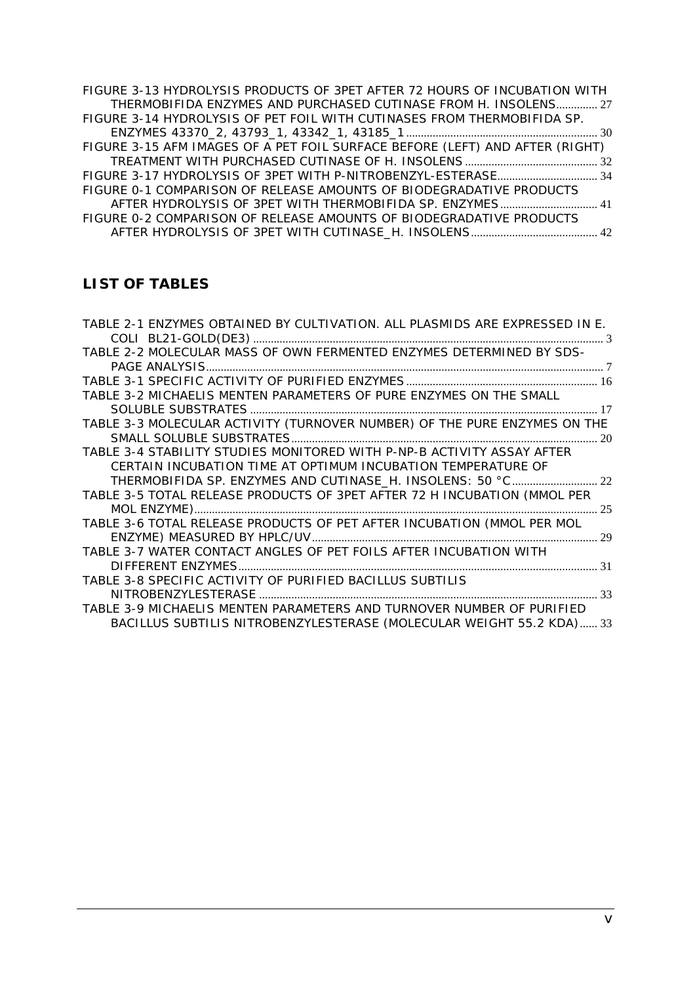| FIGURE 3-13 HYDROLYSIS PRODUCTS OF 3PET AFTER 72 HOURS OF INCUBATION WITH    |  |
|------------------------------------------------------------------------------|--|
| THERMOBIFIDA ENZYMES AND PURCHASED CUTINASE FROM H. INSOLENS 27              |  |
| FIGURE 3-14 HYDROLYSIS OF PET FOIL WITH CUTINASES FROM THERMOBIFIDA SP.      |  |
|                                                                              |  |
| FIGURE 3-15 AFM IMAGES OF A PET FOIL SURFACE BEFORE (LEFT) AND AFTER (RIGHT) |  |
|                                                                              |  |
|                                                                              |  |
| FIGURE 0-1 COMPARISON OF RELEASE AMOUNTS OF BIODEGRADATIVE PRODUCTS          |  |
| AFTER HYDROLYSIS OF 3PET WITH THERMOBIFIDA SP. ENZYMES 41                    |  |
| FIGURE 0-2 COMPARISON OF RELEASE AMOUNTS OF BIODEGRADATIVE PRODUCTS          |  |
|                                                                              |  |

## **LIST OF TABLES**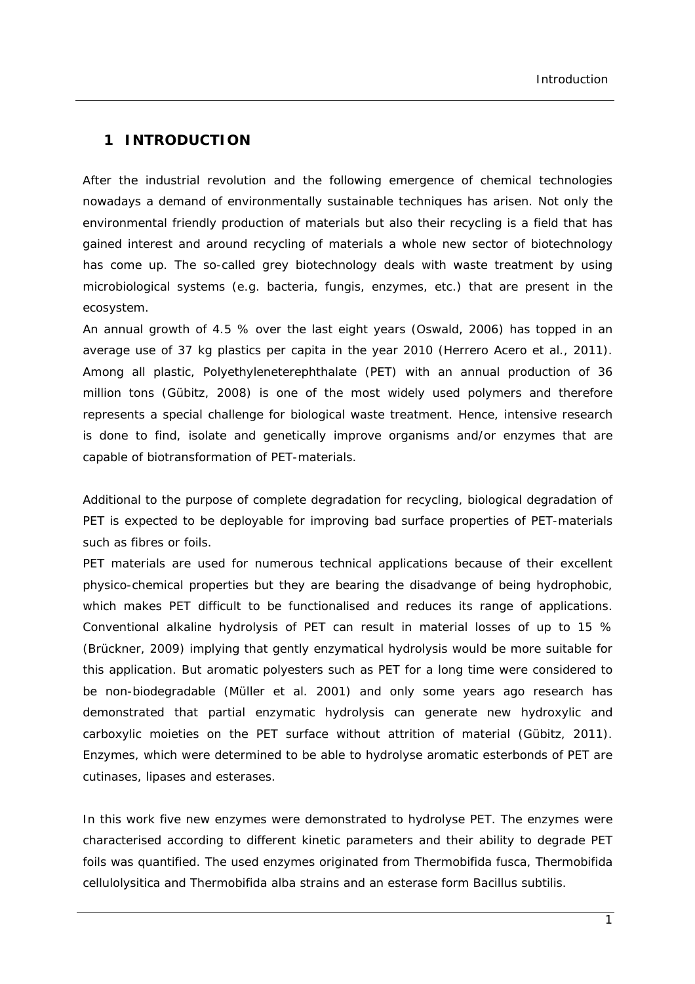### **1 INTRODUCTION**

After the industrial revolution and the following emergence of chemical technologies nowadays a demand of environmentally sustainable techniques has arisen. Not only the environmental friendly production of materials but also their recycling is a field that has gained interest and around recycling of materials a whole new sector of biotechnology has come up. The so-called grey biotechnology deals with waste treatment by using microbiological systems (e.g. bacteria, fungis, enzymes, etc.) that are present in the ecosystem.

An annual growth of 4.5 % over the last eight years (Oswald, 2006) has topped in an average use of 37 kg plastics per capita in the year 2010 (Herrero Acero *et al.*, 2011). Among all plastic, Polyethyleneterephthalate (PET) with an annual production of 36 million tons (Gübitz, 2008) is one of the most widely used polymers and therefore represents a special challenge for biological waste treatment. Hence, intensive research is done to find, isolate and genetically improve organisms and/or enzymes that are capable of biotransformation of PET-materials.

Additional to the purpose of complete degradation for recycling, biological degradation of PET is expected to be deployable for improving bad surface properties of PET-materials such as fibres or foils.

PET materials are used for numerous technical applications because of their excellent physico-chemical properties but they are bearing the disadvange of being hydrophobic, which makes PET difficult to be functionalised and reduces its range of applications. Conventional alkaline hydrolysis of PET can result in material losses of up to 15 % (Brückner, 2009) implying that gently enzymatical hydrolysis would be more suitable for this application. But aromatic polyesters such as PET for a long time were considered to be non-biodegradable (Müller *et al.* 2001) and only some years ago research has demonstrated that partial enzymatic hydrolysis can generate new hydroxylic and carboxylic moieties on the PET surface without attrition of material (Gübitz, 2011). Enzymes, which were determined to be able to hydrolyse aromatic esterbonds of PET are cutinases, lipases and esterases.

In this work five new enzymes were demonstrated to hydrolyse PET. The enzymes were characterised according to different kinetic parameters and their ability to degrade PET foils was quantified. The used enzymes originated from *Thermobifida fusca, Thermobifida cellulolysitica* and *Thermobifida alba* strains and an esterase form *Bacillus subtilis.*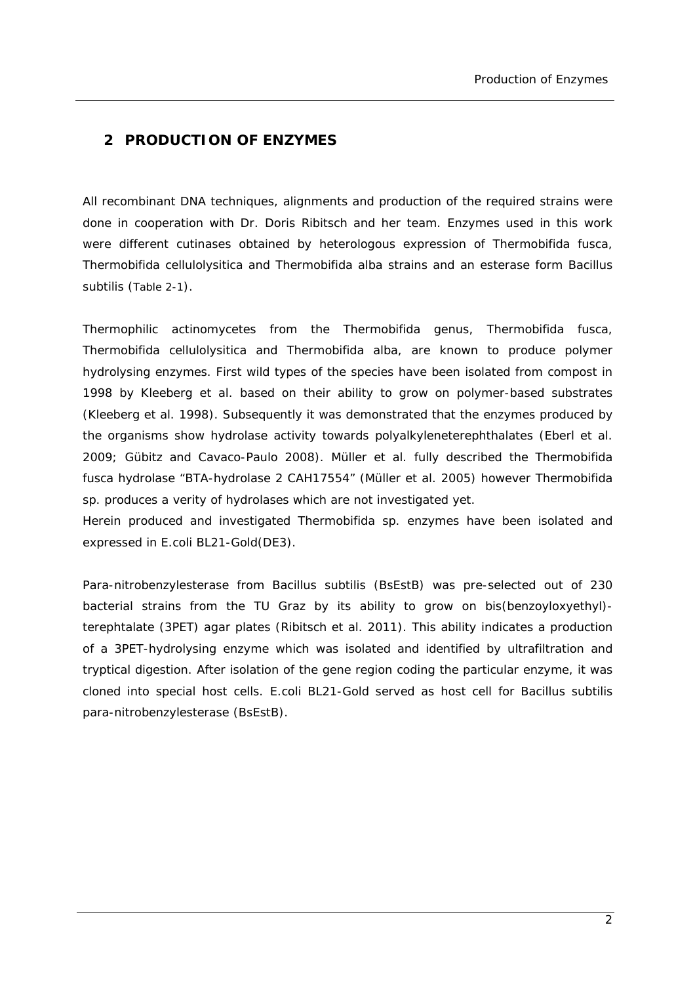### **2 PRODUCTION OF ENZYMES**

All recombinant DNA techniques, alignments and production of the required strains were done in cooperation with Dr. Doris Ribitsch and her team. Enzymes used in this work were different cutinases obtained by heterologous expression of *Thermobifida fusca, Thermobifida cellulolysitica* and *Thermobifida alba* strains and an esterase form *Bacillus subtilis* (Table 2-1).

Thermophilic actinomycetes from the *Thermobifida* genus, *Thermobifida fusca*, *Thermobifida cellulolysitica* and *Thermobifida alba*, are known to produce polymer hydrolysing enzymes. First wild types of the species have been isolated from compost in 1998 by Kleeberg *et al.* based on their ability to grow on polymer-based substrates (Kleeberg *et al.* 1998). Subsequently it was demonstrated that the enzymes produced by the organisms show hydrolase activity towards polyalkyleneterephthalates (Eberl *et al.* 2009; Gübitz and Cavaco-Paulo 2008). Müller *et al.* fully described the *Thermobifida fusca* hydrolase "BTA-hydrolase 2 CAH17554" (Müller *et al.* 2005) however *Thermobifida sp.* produces a verity of hydrolases which are not investigated yet.

Herein produced and investigated *Thermobifida sp.* enzymes have been isolated and expressed in *E.coli* BL21-Gold(DE3).

Para-nitrobenzylesterase from *Bacillus subtilis* (BsEstB) was pre-selected out of 230 bacterial strains from the TU Graz by its ability to grow on bis(benzoyloxyethyl) terephtalate (3PET) agar plates (Ribitsch *et al.* 2011). This ability indicates a production of a 3PET-hydrolysing enzyme which was isolated and identified by ultrafiltration and tryptical digestion. After isolation of the gene region coding the particular enzyme, it was cloned into special host cells. E.*coli* BL21-Gold served as host cell for *Bacillus subtilis* para-nitrobenzylesterase (BsEstB).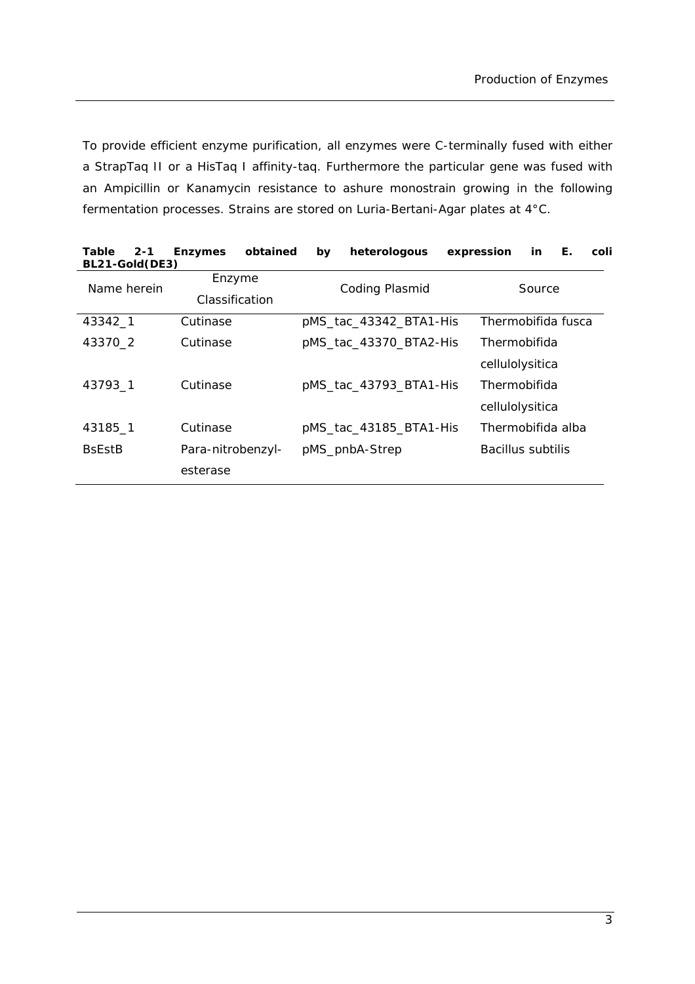To provide efficient enzyme purification, all enzymes were C-terminally fused with either a StrapTaq II or a HisTaq I affinity-taq. Furthermore the particular gene was fused with an Ampicillin or Kanamycin resistance to ashure monostrain growing in the following fermentation processes. Strains are stored on Luria-Bertani-Agar plates at 4°C.

| $2 - 1$<br>Table<br>BL21-Gold(DE3) | <b>Enzymes</b>    | obtained<br>heterologous<br>by | expression<br>Е.<br>coli<br>in |
|------------------------------------|-------------------|--------------------------------|--------------------------------|
| Name herein                        | Enzyme            | Coding Plasmid                 | Source                         |
|                                    | Classification    |                                |                                |
| 43342_1                            | Cutinase          | pMS_tac_43342_BTA1-His         | Thermobifida fusca             |
| 43370_2                            | Cutinase          | pMS_tac_43370_BTA2-His         | Thermobifida                   |
|                                    |                   |                                | cellulolysitica                |
| 43793 1                            | Cutinase          | pMS_tac_43793_BTA1-His         | Thermobifida                   |
|                                    |                   |                                | cellulolysitica                |
| 43185_1                            | Cutinase          | pMS_tac_43185_BTA1-His         | Thermobifida alba              |
| <b>B</b> sEst <sub>B</sub>         | Para-nitrobenzyl- | pMS_pnbA-Strep                 | Bacillus subtilis              |
|                                    | esterase          |                                |                                |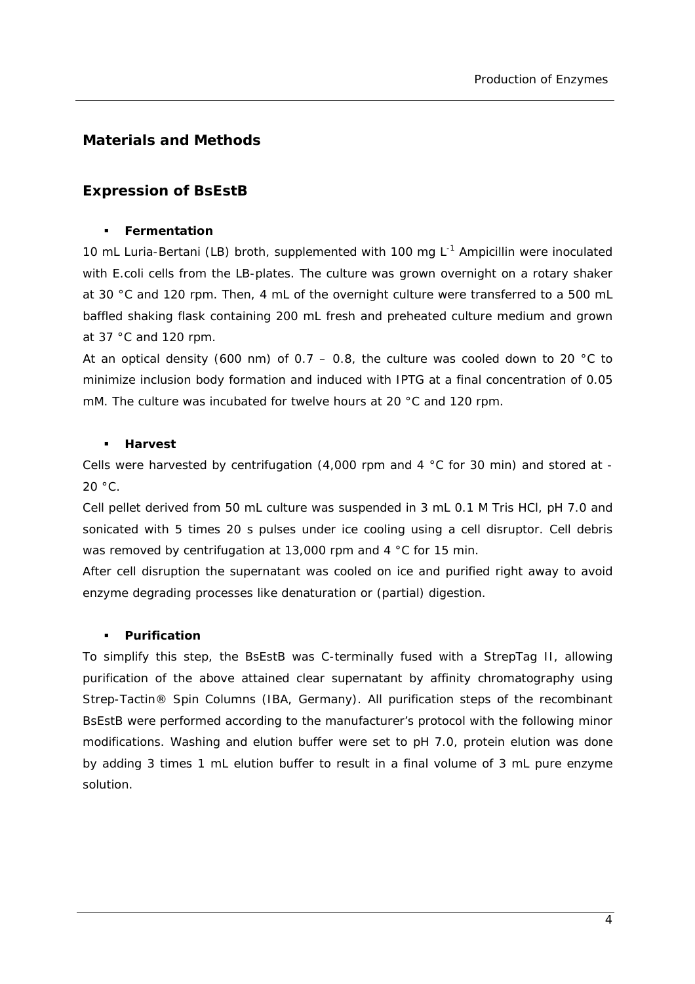### **Materials and Methods**

### *Expression of BsEstB*

### **Fermentation**

10 mL Luria-Bertani (LB) broth, supplemented with 100 mg  $L^{-1}$  Ampicillin were inoculated with *E.coli* cells from the LB-plates. The culture was grown overnight on a rotary shaker at 30 °C and 120 rpm. Then, 4 mL of the overnight culture were transferred to a 500 mL baffled shaking flask containing 200 mL fresh and preheated culture medium and grown at 37 °C and 120 rpm.

At an optical density (600 nm) of 0.7 – 0.8, the culture was cooled down to 20 °C to minimize inclusion body formation and induced with IPTG at a final concentration of 0.05 mM. The culture was incubated for twelve hours at 20 °C and 120 rpm.

### **Harvest**

Cells were harvested by centrifugation (4,000 rpm and 4  $\degree$ C for 30 min) and stored at - $20 °C$ .

Cell pellet derived from 50 mL culture was suspended in 3 mL 0.1 M Tris HCl, pH 7.0 and sonicated with 5 times 20 s pulses under ice cooling using a cell disruptor. Cell debris was removed by centrifugation at 13,000 rpm and 4 °C for 15 min.

After cell disruption the supernatant was cooled on ice and purified right away to avoid enzyme degrading processes like denaturation or (partial) digestion.

### **Purification**

To simplify this step, the BsEstB was C-terminally fused with a StrepTag II, allowing purification of the above attained clear supernatant by affinity chromatography using Strep-Tactin® Spin Columns (IBA, Germany). All purification steps of the recombinant BsEstB were performed according to the manufacturer's protocol with the following minor modifications. Washing and elution buffer were set to pH 7.0, protein elution was done by adding 3 times 1 mL elution buffer to result in a final volume of 3 mL pure enzyme solution.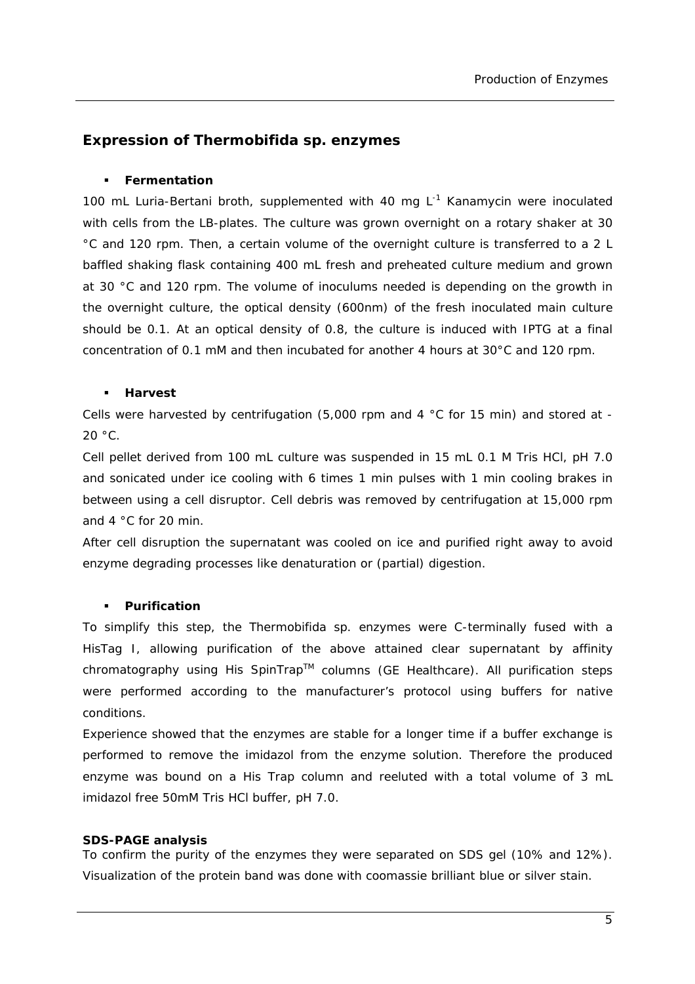### *Expression of Thermobifida sp. enzymes*

#### **Fermentation**

100 mL Luria-Bertani broth, supplemented with 40 mg  $L^{-1}$  Kanamycin were inoculated with cells from the LB-plates. The culture was grown overnight on a rotary shaker at 30 °C and 120 rpm. Then, a certain volume of the overnight culture is transferred to a 2 L baffled shaking flask containing 400 mL fresh and preheated culture medium and grown at 30 °C and 120 rpm. The volume of inoculums needed is depending on the growth in the overnight culture, the optical density (600nm) of the fresh inoculated main culture should be 0.1. At an optical density of 0.8, the culture is induced with IPTG at a final concentration of 0.1 mM and then incubated for another 4 hours at 30°C and 120 rpm.

#### **Harvest**

Cells were harvested by centrifugation (5,000 rpm and 4 °C for 15 min) and stored at -  $20 °C$ .

Cell pellet derived from 100 mL culture was suspended in 15 mL 0.1 M Tris HCl, pH 7.0 and sonicated under ice cooling with 6 times 1 min pulses with 1 min cooling brakes in between using a cell disruptor. Cell debris was removed by centrifugation at 15,000 rpm and 4 °C for 20 min.

After cell disruption the supernatant was cooled on ice and purified right away to avoid enzyme degrading processes like denaturation or (partial) digestion.

#### **Purification**

To simplify this step, the *Thermobifida* sp. enzymes were C-terminally fused with a HisTag I, allowing purification of the above attained clear supernatant by affinity chromatography using His SpinTrap™ columns (GE Healthcare). All purification steps were performed according to the manufacturer's protocol using buffers for native conditions.

Experience showed that the enzymes are stable for a longer time if a buffer exchange is performed to remove the imidazol from the enzyme solution. Therefore the produced enzyme was bound on a His Trap column and reeluted with a total volume of 3 mL imidazol free 50mM Tris HCl buffer, pH 7.0.

#### **SDS-PAGE analysis**

To confirm the purity of the enzymes they were separated on SDS gel (10% and 12%). Visualization of the protein band was done with coomassie brilliant blue or silver stain.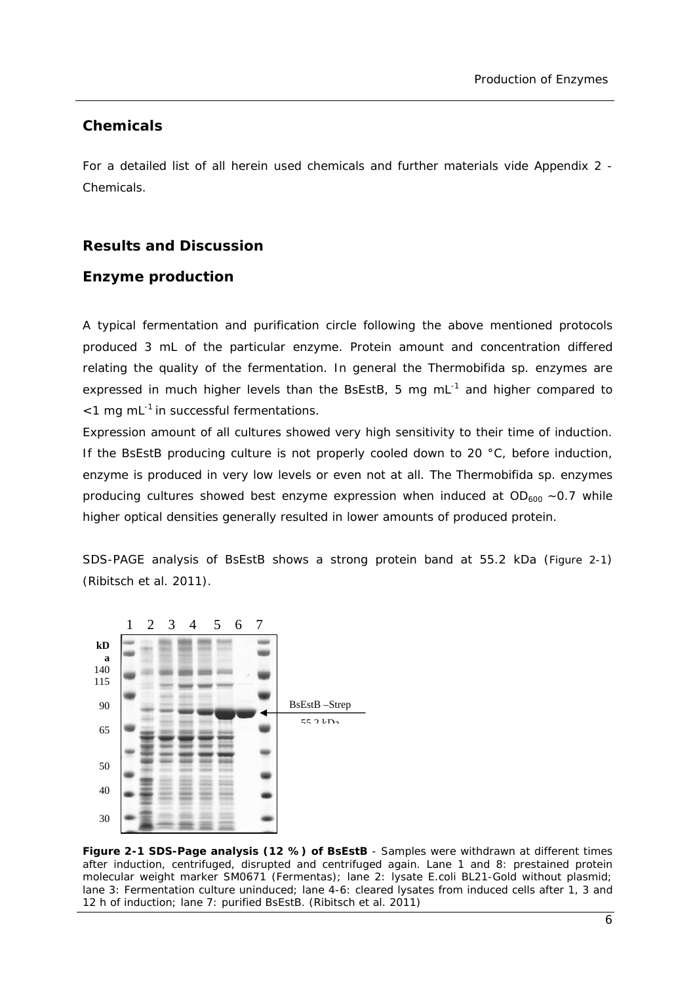### *Chemicals*

For a detailed list of all herein used chemicals and further materials vide Appendix 2 - Chemicals.

### **Results and Discussion**

### *Enzyme production*

A typical fermentation and purification circle following the above mentioned protocols produced 3 mL of the particular enzyme. Protein amount and concentration differed relating the quality of the fermentation. In general the *Thermobifida sp.* enzymes are expressed in much higher levels than the BsEstB, 5 mg  $mL^{-1}$  and higher compared to  $<$ 1 mg mL $^{-1}$  in successful fermentations.

Expression amount of all cultures showed very high sensitivity to their time of induction. If the BsEstB producing culture is not properly cooled down to 20 °C, before induction, enzyme is produced in very low levels or even not at all. The *Thermobifida sp.* enzymes producing cultures showed best enzyme expression when induced at  $OD_{600} \sim 0.7$  while higher optical densities generally resulted in lower amounts of produced protein.

SDS-PAGE analysis of BsEstB shows a strong protein band at 55.2 kDa (Figure 2-1) (Ribitsch *et al.* 2011).



**Figure 2-1 SDS-Page analysis (12 %) of BsEstB** - Samples were withdrawn at different times after induction, centrifuged, disrupted and centrifuged again. Lane 1 and 8: prestained protein molecular weight marker SM0671 (Fermentas); lane 2: lysate *E.coli* BL21-Gold without plasmid; lane 3: Fermentation culture uninduced; lane 4-6: cleared lysates from induced cells after 1, 3 and 12 h of induction; lane 7: purified BsEstB. (Ribitsch *et al.* 2011)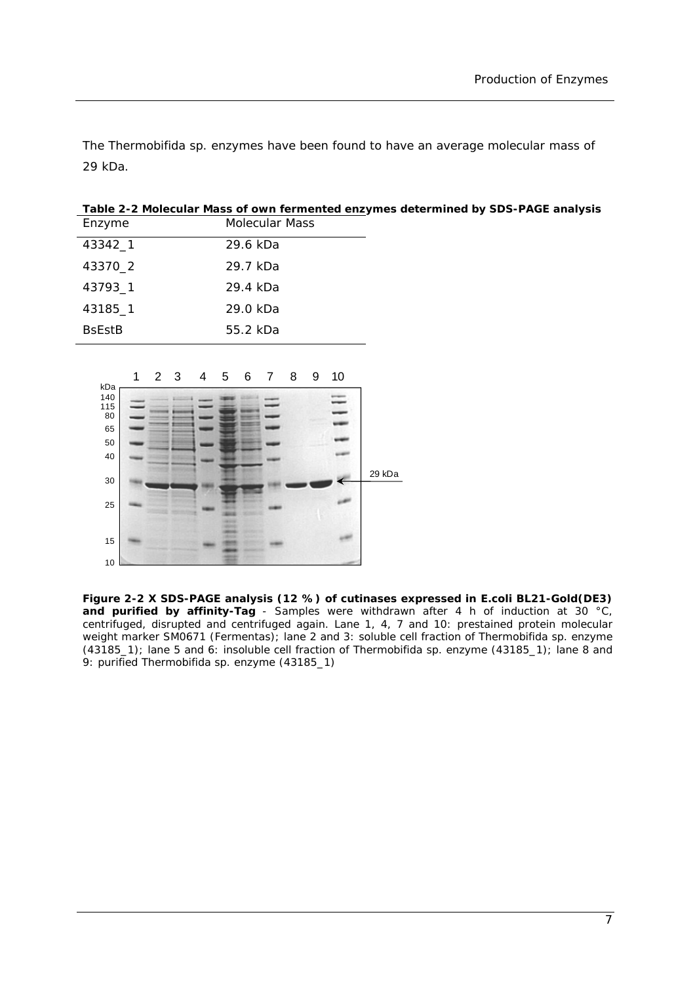The *Thermobifida sp.* enzymes have been found to have an average molecular mass of 29 kDa.

**Table 2-2 Molecular Mass of own fermented enzymes determined by SDS-PAGE analysis**  Enzyme Molecular Mass

| 43342_1                    | 29.6 kDa |
|----------------------------|----------|
| 43370_2                    | 29.7 kDa |
| 43793 1                    | 29.4 kDa |
| 43185 1                    | 29.0 kDa |
| <b>B</b> sFst <sub>B</sub> | 55.2 kDa |



**Figure 2-2 X SDS-PAGE analysis (12 %) of cutinases expressed in** *E.coli* **BL21-Gold(DE3) and purified by affinity-Tag** - Samples were withdrawn after 4 h of induction at 30 °C, centrifuged, disrupted and centrifuged again. Lane 1, 4, 7 and 10: prestained protein molecular weight marker SM0671 (Fermentas); lane 2 and 3: soluble cell fraction of *Thermobifida sp*. enzyme (43185\_1); lane 5 and 6: insoluble cell fraction of *Thermobifida sp*. enzyme (43185\_1); lane 8 and 9: purified *Thermobifida sp*. enzyme (43185\_1)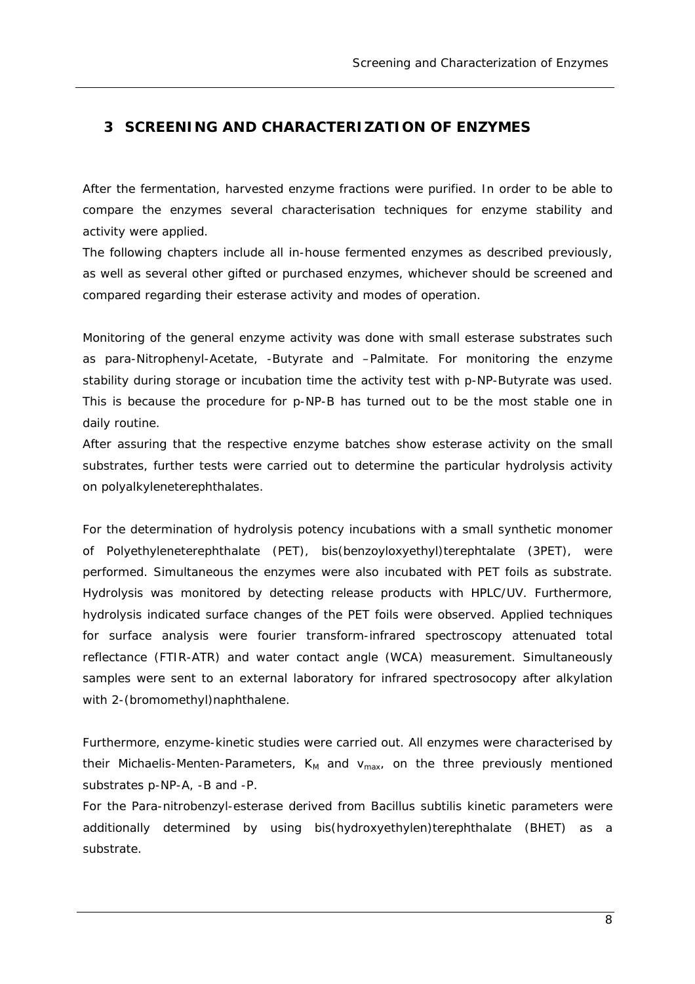### **3 SCREENING AND CHARACTERIZATION OF ENZYMES**

After the fermentation, harvested enzyme fractions were purified. In order to be able to compare the enzymes several characterisation techniques for enzyme stability and activity were applied.

The following chapters include all in-house fermented enzymes as described previously, as well as several other gifted or purchased enzymes, whichever should be screened and compared regarding their esterase activity and modes of operation.

Monitoring of the general enzyme activity was done with small esterase substrates such as *para*-Nitrophenyl-Acetate, -Butyrate and –Palmitate. For monitoring the enzyme stability during storage or incubation time the activity test with *p*-NP-Butyrate was used. This is because the procedure for *p*-NP-B has turned out to be the most stable one in daily routine.

After assuring that the respective enzyme batches show esterase activity on the small substrates, further tests were carried out to determine the particular hydrolysis activity on polyalkyleneterephthalates.

For the determination of hydrolysis potency incubations with a small synthetic monomer of Polyethyleneterephthalate (PET), bis(benzoyloxyethyl)terephtalate (3PET), were performed. Simultaneous the enzymes were also incubated with PET foils as substrate. Hydrolysis was monitored by detecting release products with HPLC/UV. Furthermore, hydrolysis indicated surface changes of the PET foils were observed. Applied techniques for surface analysis were fourier transform-infrared spectroscopy attenuated total reflectance (FTIR-ATR) and water contact angle (WCA) measurement. Simultaneously samples were sent to an external laboratory for infrared spectrosocopy after alkylation with 2-(bromomethyl)naphthalene.

Furthermore, enzyme-kinetic studies were carried out. All enzymes were characterised by their Michaelis-Menten-Parameters,  $K_M$  and  $V_{max}$ , on the three previously mentioned substrates *p*-NP-A, -B and -P.

For the Para-nitrobenzyl-esterase derived from *Bacillus subtilis* kinetic parameters were additionally determined by using bis(hydroxyethylen)terephthalate (BHET) as a substrate.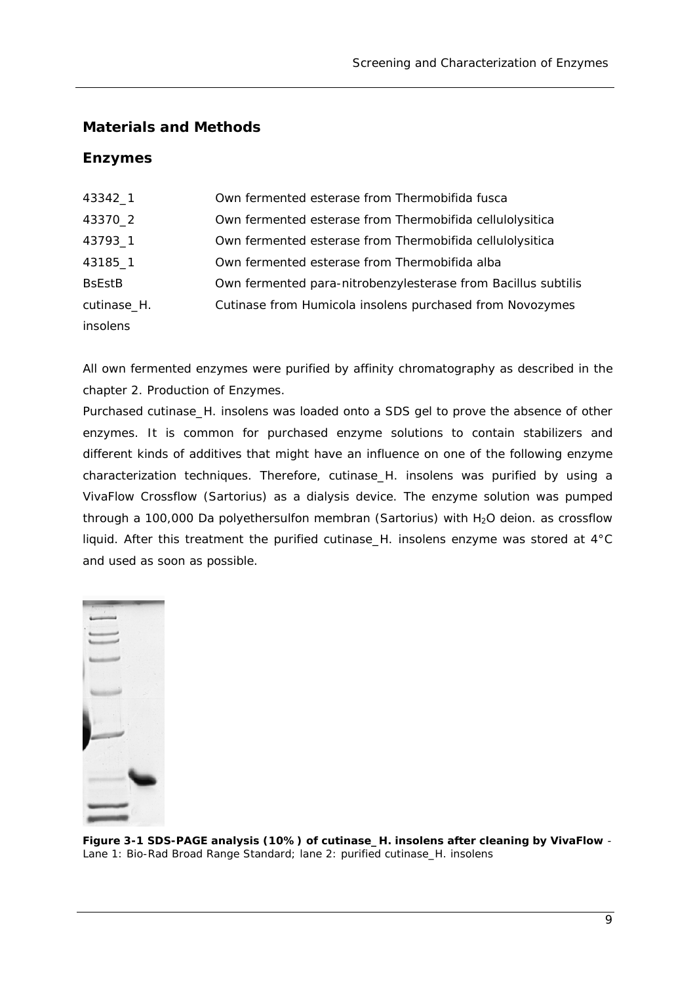### **Materials and Methods**

### *Enzymes*

| 43342_1                    | Own fermented esterase from Thermobifida fusca                |
|----------------------------|---------------------------------------------------------------|
| 43370_2                    | Own fermented esterase from Thermobifida cellulolysitica      |
| 43793_1                    | Own fermented esterase from Thermobifida cellulolysitica      |
| 43185_1                    | Own fermented esterase from Thermobifida alba                 |
| <b>B</b> sEst <sub>B</sub> | Own fermented para-nitrobenzylesterase from Bacillus subtilis |
| cutinase_H.                | Cutinase from Humicola insolens purchased from Novozymes      |
| insolens                   |                                                               |

All own fermented enzymes were purified by affinity chromatography as described in the chapter 2. Production of Enzymes.

Purchased cutinase\_*H. insolens* was loaded onto a SDS gel to prove the absence of other enzymes. It is common for purchased enzyme solutions to contain stabilizers and different kinds of additives that might have an influence on one of the following enzyme characterization techniques. Therefore, cutinase\_*H. insolens* was purified by using a VivaFlow Crossflow (Sartorius) as a dialysis device. The enzyme solution was pumped through a 100,000 Da polyethersulfon membran (Sartorius) with  $H<sub>2</sub>O$  deion. as crossflow liquid. After this treatment the purified cutinase\_*H. insolens* enzyme was stored at 4°C and used as soon as possible.



**Figure 3-1 SDS-PAGE analysis (10%) of cutinase\_***H. insolens* **after cleaning by VivaFlow** - Lane 1: Bio-Rad Broad Range Standard; lane 2: purified cutinase\_*H. insolens*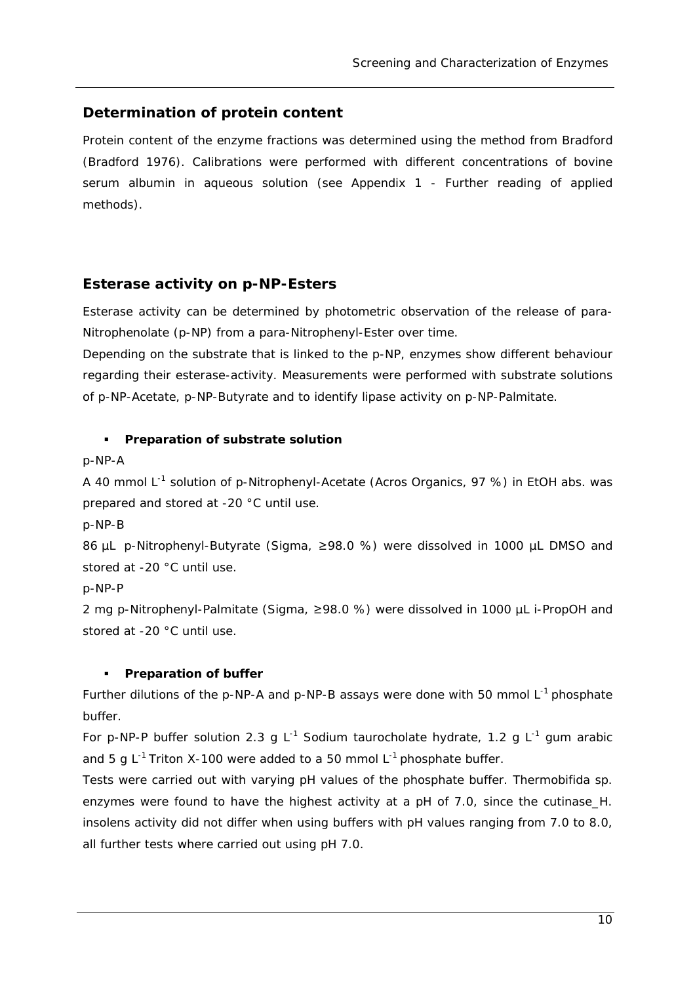### *Determination of protein content*

Protein content of the enzyme fractions was determined using the method from Bradford (Bradford 1976). Calibrations were performed with different concentrations of bovine serum albumin in aqueous solution (see Appendix 1 - Further reading of applied methods).

### *Esterase activity on p-NP-Esters*

Esterase activity can be determined by photometric observation of the release of *para*-Nitrophenolate (*p*-NP) from a *para*-Nitrophenyl-Ester over time.

Depending on the substrate that is linked to the *p*-NP, enzymes show different behaviour regarding their esterase-activity. Measurements were performed with substrate solutions of *p*-NP-Acetate, *p*-NP-Butyrate and to identify lipase activity on *p*-NP-Palmitate.

### **Preparation of substrate solution**

*p-*NP-A

A 40 mmol L<sup>-1</sup> solution of p-Nitrophenyl-Acetate (Acros Organics, 97 %) in EtOH abs. was prepared and stored at -20 °C until use.

*p*-NP-B

86 µL *p*-Nitrophenyl-Butyrate (Sigma, ≥98.0 %) were dissolved in 1000 µL DMSO and stored at -20 °C until use.

*p*-NP-P

2 mg *p-*Nitrophenyl-Palmitate (Sigma, ≥98.0 %) were dissolved in 1000 µL i-PropOH and stored at -20 °C until use.

#### **Preparation of buffer**

Further dilutions of the p-NP-A and p-NP-B assays were done with 50 mmol L<sup>-1</sup> phosphate buffer.

For p-NP-P buffer solution 2.3 g L<sup>-1</sup> Sodium taurocholate hydrate, 1.2 g L<sup>-1</sup> gum arabic and 5 g  $L^{-1}$  Triton X-100 were added to a 50 mmol  $L^{-1}$  phosphate buffer.

Tests were carried out with varying pH values of the phosphate buffer. *Thermobifida sp*. enzymes were found to have the highest activity at a pH of 7.0, since the cutinase H. *insolens* activity did not differ when using buffers with pH values ranging from 7.0 to 8.0, all further tests where carried out using pH 7.0.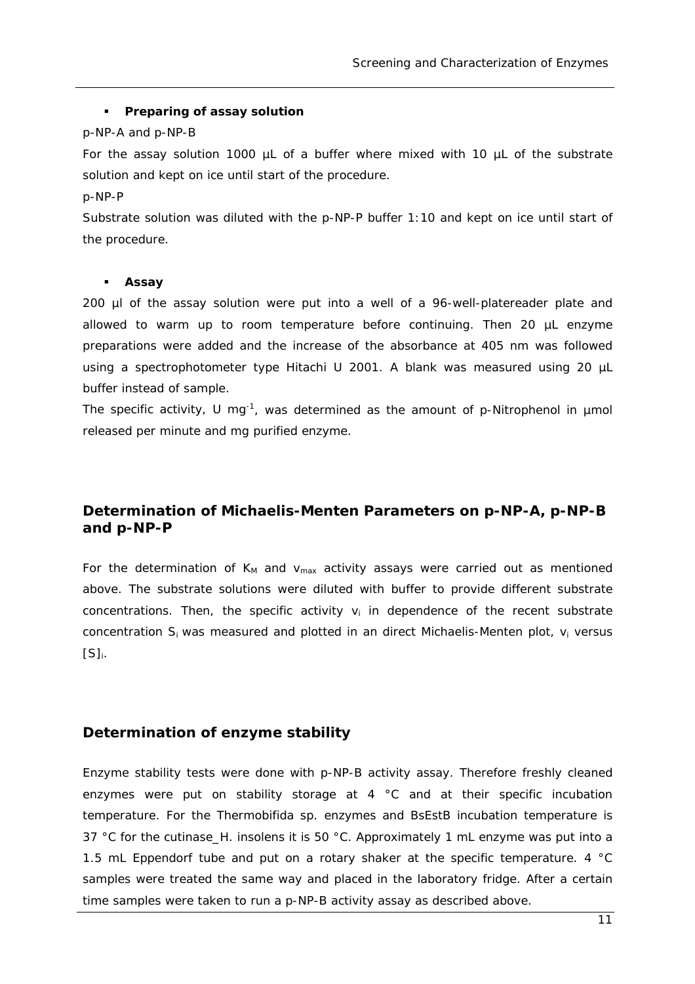#### **Preparing of assay solution**

#### *p-*NP-A and *p*-NP-B

For the assay solution 1000  $\mu$ L of a buffer where mixed with 10  $\mu$ L of the substrate solution and kept on ice until start of the procedure.

#### *p*-NP-P

Substrate solution was diluted with the *p*-NP-P buffer 1:10 and kept on ice until start of the procedure.

#### **Assay**

200 µl of the assay solution were put into a well of a 96-well-platereader plate and allowed to warm up to room temperature before continuing. Then 20 µL enzyme preparations were added and the increase of the absorbance at 405 nm was followed using a spectrophotometer type Hitachi U 2001. A blank was measured using 20 µL buffer instead of sample.

The specific activity, U mg<sup>-1</sup>, was determined as the amount of  $p$ -Nitrophenol in umol released per minute and mg purified enzyme.

## *Determination of Michaelis-Menten Parameters on p-NP-A, p-NP-B and p-NP-P*

For the determination of  $K_M$  and  $v_{max}$  activity assays were carried out as mentioned above. The substrate solutions were diluted with buffer to provide different substrate concentrations. Then, the specific activity  $v_i$  in dependence of the recent substrate concentration  $S_i$  was measured and plotted in an direct Michaelis-Menten plot,  $v_i$  versus  $[S]_i$ .

### *Determination of enzyme stability*

Enzyme stability tests were done with *p*-NP-B activity assay. Therefore freshly cleaned enzymes were put on stability storage at 4 °C and at their specific incubation temperature. For the *Thermobifida sp.* enzymes and BsEstB incubation temperature is 37 °C for the cutinase\_*H. insolens* it is 50 °C. Approximately 1 mL enzyme was put into a 1.5 mL Eppendorf tube and put on a rotary shaker at the specific temperature. 4 °C samples were treated the same way and placed in the laboratory fridge. After a certain time samples were taken to run a *p*-NP-B activity assay as described above.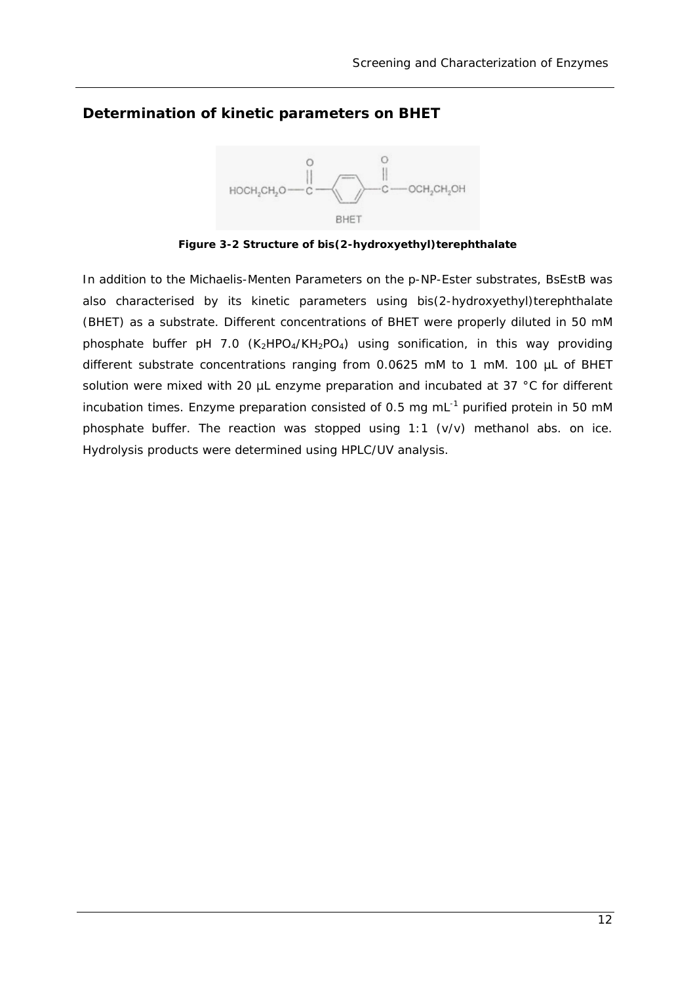### *Determination of kinetic parameters on BHET*



**Figure 3-2 Structure of bis(2-hydroxyethyl)terephthalate** 

In addition to the Michaelis-Menten Parameters on the *p*-NP-Ester substrates, BsEstB was also characterised by its kinetic parameters using bis(2-hydroxyethyl)terephthalate (BHET) as a substrate. Different concentrations of BHET were properly diluted in 50 mM phosphate buffer pH 7.0  $(K_2HPO_4/KH_2PO_4)$  using sonification, in this way providing different substrate concentrations ranging from 0.0625 mM to 1 mM. 100 µL of BHET solution were mixed with 20 µL enzyme preparation and incubated at 37 °C for different incubation times. Enzyme preparation consisted of 0.5 mg mL<sup>-1</sup> purified protein in 50 mM phosphate buffer. The reaction was stopped using 1:1 (v/v) methanol abs. on ice. Hydrolysis products were determined using HPLC/UV analysis.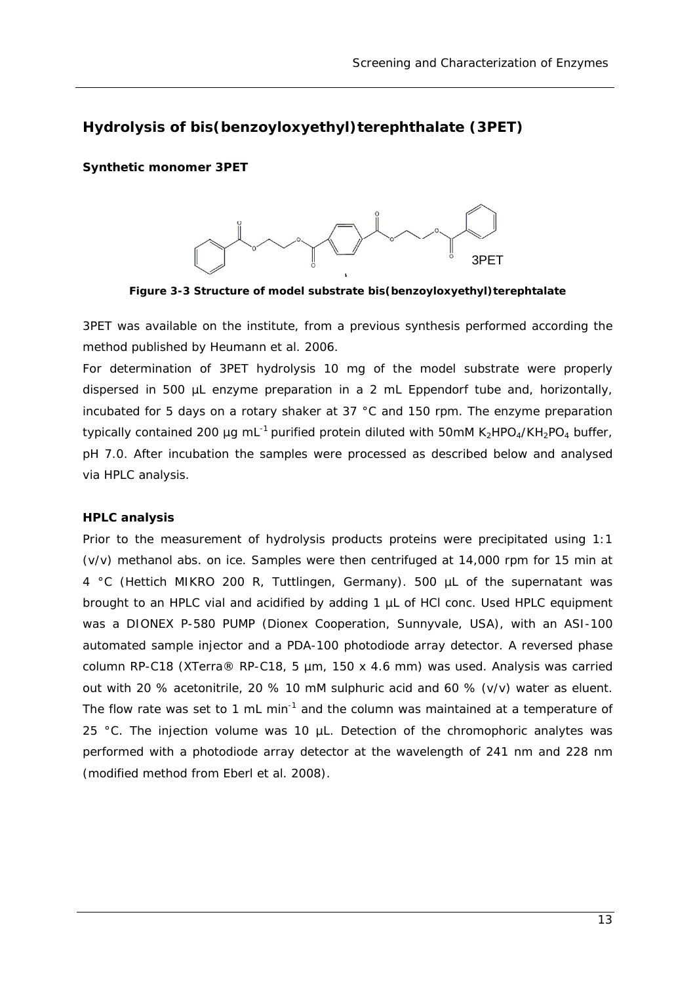### *Hydrolysis of bis(benzoyloxyethyl)terephthalate (3PET)*

#### **Synthetic monomer 3PET**



**Figure 3-3 Structure of model substrate bis(benzoyloxyethyl)terephtalate** 

3PET was available on the institute, from a previous synthesis performed according the method published by Heumann *et al.* 2006.

For determination of 3PET hydrolysis 10 mg of the model substrate were properly dispersed in 500 µL enzyme preparation in a 2 mL Eppendorf tube and, horizontally, incubated for 5 days on a rotary shaker at 37 °C and 150 rpm. The enzyme preparation typically contained 200 µg mL<sup>-1</sup> purified protein diluted with 50mM K<sub>2</sub>HPO<sub>4</sub>/KH<sub>2</sub>PO<sub>4</sub> buffer, pH 7.0. After incubation the samples were processed as described below and analysed via HPLC analysis.

#### **HPLC analysis**

Prior to the measurement of hydrolysis products proteins were precipitated using 1:1 (v/v) methanol abs. on ice. Samples were then centrifuged at 14,000 rpm for 15 min at 4 °C (Hettich MIKRO 200 R, Tuttlingen, Germany). 500 µL of the supernatant was brought to an HPLC vial and acidified by adding 1 µL of HCl conc. Used HPLC equipment was a DIONEX P-580 PUMP (Dionex Cooperation, Sunnyvale, USA), with an ASI-100 automated sample injector and a PDA-100 photodiode array detector. A reversed phase column RP-C18 (XTerra® RP-C18, 5 µm, 150 x 4.6 mm) was used. Analysis was carried out with 20 % acetonitrile, 20 % 10 mM sulphuric acid and 60 % (v/v) water as eluent. The flow rate was set to 1 mL min<sup>-1</sup> and the column was maintained at a temperature of 25 °C. The injection volume was 10 µL. Detection of the chromophoric analytes was performed with a photodiode array detector at the wavelength of 241 nm and 228 nm (modified method from Eberl *et al.* 2008).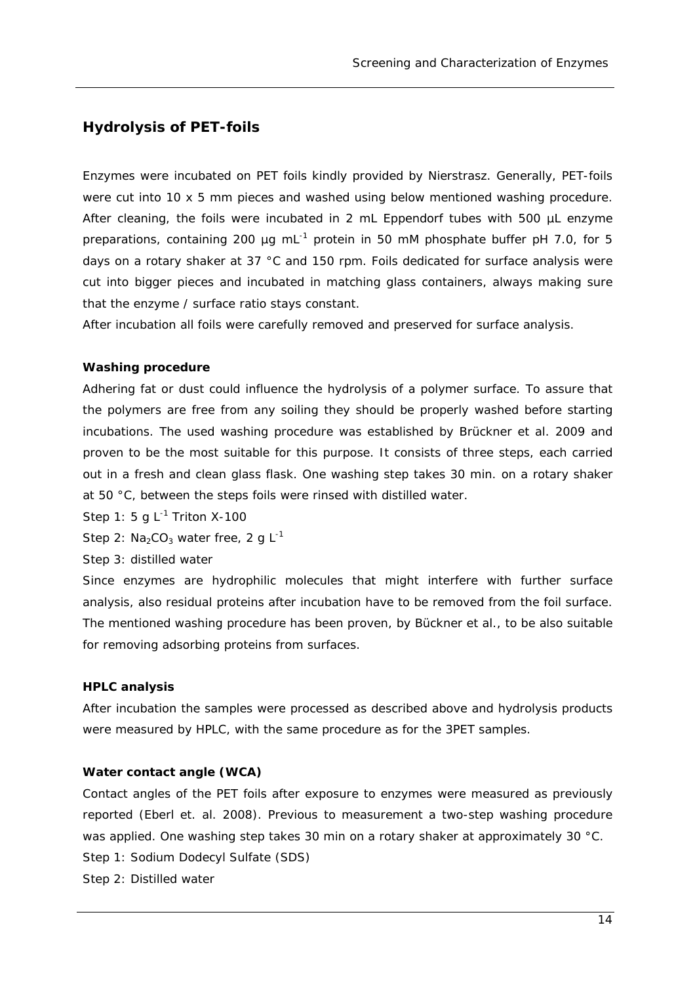### *Hydrolysis of PET-foils*

Enzymes were incubated on PET foils kindly provided by Nierstrasz. Generally, PET-foils were cut into 10 x 5 mm pieces and washed using below mentioned washing procedure. After cleaning, the foils were incubated in 2 mL Eppendorf tubes with 500 µL enzyme preparations, containing 200 µg mL $^{-1}$  protein in 50 mM phosphate buffer pH 7.0, for 5 days on a rotary shaker at 37 °C and 150 rpm. Foils dedicated for surface analysis were cut into bigger pieces and incubated in matching glass containers, always making sure that the enzyme / surface ratio stays constant.

After incubation all foils were carefully removed and preserved for surface analysis.

#### **Washing procedure**

Adhering fat or dust could influence the hydrolysis of a polymer surface. To assure that the polymers are free from any soiling they should be properly washed before starting incubations. The used washing procedure was established by Brückner *et al.* 2009 and proven to be the most suitable for this purpose. It consists of three steps, each carried out in a fresh and clean glass flask. One washing step takes 30 min. on a rotary shaker at 50 °C, between the steps foils were rinsed with distilled water.

Step 1: 5 g  $L^{-1}$  Triton X-100

Step 2:  $Na<sub>2</sub>CO<sub>3</sub>$  water free, 2 g L<sup>-1</sup>

Step 3: distilled water

Since enzymes are hydrophilic molecules that might interfere with further surface analysis, also residual proteins after incubation have to be removed from the foil surface. The mentioned washing procedure has been proven, by Bückner *et al.,* to be also suitable for removing adsorbing proteins from surfaces.

#### **HPLC analysis**

After incubation the samples were processed as described above and hydrolysis products were measured by HPLC, with the same procedure as for the 3PET samples.

#### **Water contact angle (WCA)**

Contact angles of the PET foils after exposure to enzymes were measured as previously reported (Eberl *et. al.* 2008). Previous to measurement a two-step washing procedure was applied. One washing step takes 30 min on a rotary shaker at approximately 30 °C. Step 1: Sodium Dodecyl Sulfate (SDS) Step 2: Distilled water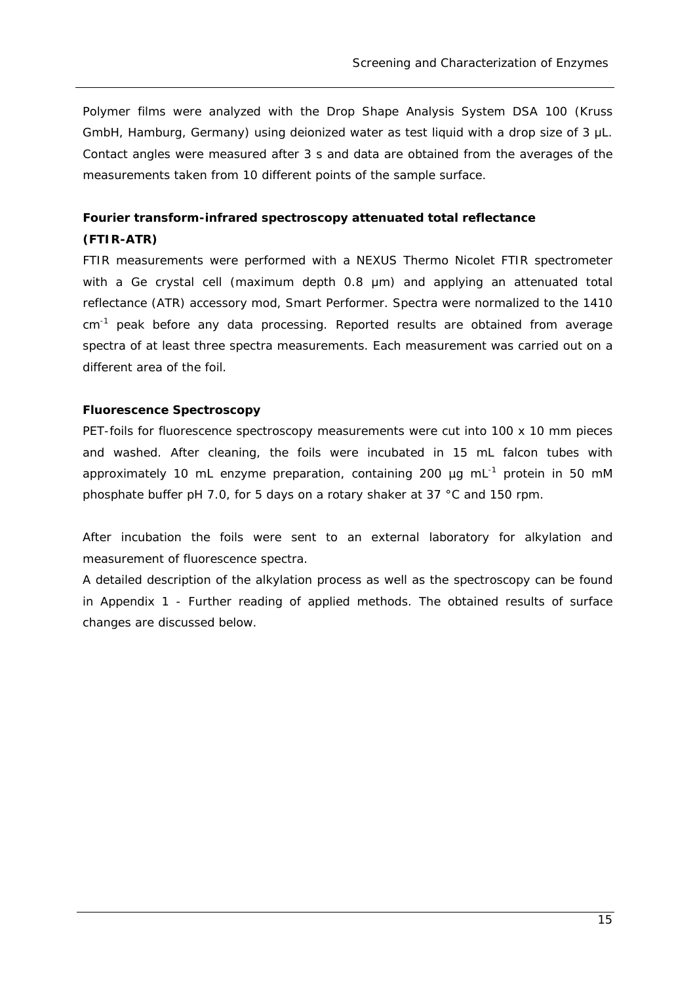Polymer films were analyzed with the Drop Shape Analysis System DSA 100 (Kruss GmbH, Hamburg, Germany) using deionized water as test liquid with a drop size of 3 μL. Contact angles were measured after 3 s and data are obtained from the averages of the measurements taken from 10 different points of the sample surface.

### **Fourier transform-infrared spectroscopy attenuated total reflectance (FTIR-ATR)**

FTIR measurements were performed with a NEXUS Thermo Nicolet FTIR spectrometer with a Ge crystal cell (maximum depth 0.8 μm) and applying an attenuated total reflectance (ATR) accessory mod, Smart Performer. Spectra were normalized to the 1410  $cm^{-1}$  peak before any data processing. Reported results are obtained from average spectra of at least three spectra measurements. Each measurement was carried out on a different area of the foil.

#### **Fluorescence Spectroscopy**

PET-foils for fluorescence spectroscopy measurements were cut into 100 x 10 mm pieces and washed. After cleaning, the foils were incubated in 15 mL falcon tubes with approximately 10 mL enzyme preparation, containing 200  $\mu$ g mL $^{-1}$  protein in 50 mM phosphate buffer pH 7.0, for 5 days on a rotary shaker at 37 °C and 150 rpm.

After incubation the foils were sent to an external laboratory for alkylation and measurement of fluorescence spectra.

A detailed description of the alkylation process as well as the spectroscopy can be found in Appendix 1 - Further reading of applied methods. The obtained results of surface changes are discussed below.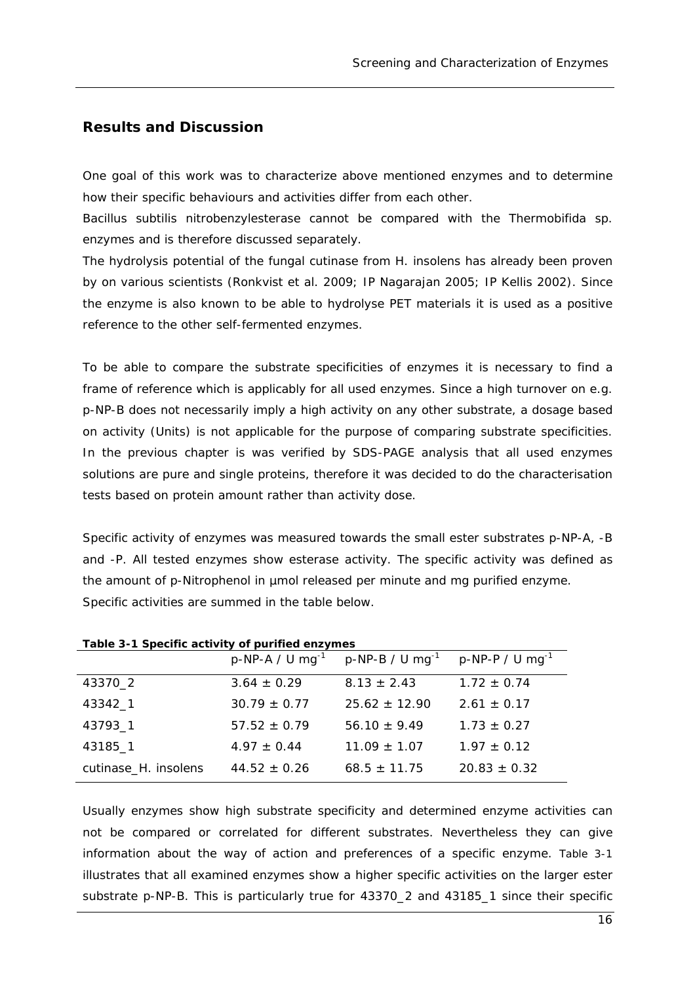#### **Results and Discussion**

One goal of this work was to characterize above mentioned enzymes and to determine how their specific behaviours and activities differ from each other.

*Bacillus subtilis* nitrobenzylesterase cannot be compared with the *Thermobifida sp.* enzymes and is therefore discussed separately.

The hydrolysis potential of the fungal cutinase from *H. insolens* has already been proven by on various scientists (Ronkvist *et al.* 2009; IP Nagarajan 2005; IP Kellis 2002). Since the enzyme is also known to be able to hydrolyse PET materials it is used as a positive reference to the other self-fermented enzymes.

To be able to compare the substrate specificities of enzymes it is necessary to find a frame of reference which is applicably for all used enzymes. Since a high turnover on e.g. *p*-NP-B does not necessarily imply a high activity on any other substrate, a dosage based on activity (Units) is not applicable for the purpose of comparing substrate specificities. In the previous chapter is was verified by SDS-PAGE analysis that all used enzymes solutions are pure and single proteins, therefore it was decided to do the characterisation tests based on protein amount rather than activity dose.

Specific activity of enzymes was measured towards the small ester substrates *p*-NP-A, -B and -P. All tested enzymes show esterase activity. The specific activity was defined as the amount of *p-*Nitrophenol in µmol released per minute and mg purified enzyme. Specific activities are summed in the table below.

| Table of Topconic activity or partned chaymed |                  |                                                                                       |                  |  |  |  |
|-----------------------------------------------|------------------|---------------------------------------------------------------------------------------|------------------|--|--|--|
|                                               |                  | $p-NP-A$ / U mg <sup>-1</sup> p-NP-B / U mg <sup>-1</sup> p-NP-P / U mg <sup>-1</sup> |                  |  |  |  |
| 43370_2                                       | $3.64 \pm 0.29$  | $8.13 \pm 2.43$                                                                       | $1.72 \pm 0.74$  |  |  |  |
| 43342_1                                       | $30.79 \pm 0.77$ | $25.62 + 12.90$                                                                       | $2.61 \pm 0.17$  |  |  |  |
| 43793_1                                       | $57.52 \pm 0.79$ | $56.10 \pm 9.49$                                                                      | $1.73 \pm 0.27$  |  |  |  |
| 43185_1                                       | $4.97 \pm 0.44$  | $11.09 \pm 1.07$                                                                      | $1.97 \pm 0.12$  |  |  |  |
| cutinase_H. insolens                          | $44.52 \pm 0.26$ | $68.5 \pm 11.75$                                                                      | $20.83 \pm 0.32$ |  |  |  |

**Table 3-1 Specific activity of purified enzymes** 

Usually enzymes show high substrate specificity and determined enzyme activities can not be compared or correlated for different substrates. Nevertheless they can give information about the way of action and preferences of a specific enzyme. Table 3-1 illustrates that all examined enzymes show a higher specific activities on the larger ester substrate *p*-NP-B. This is particularly true for 43370\_2 and 43185\_1 since their specific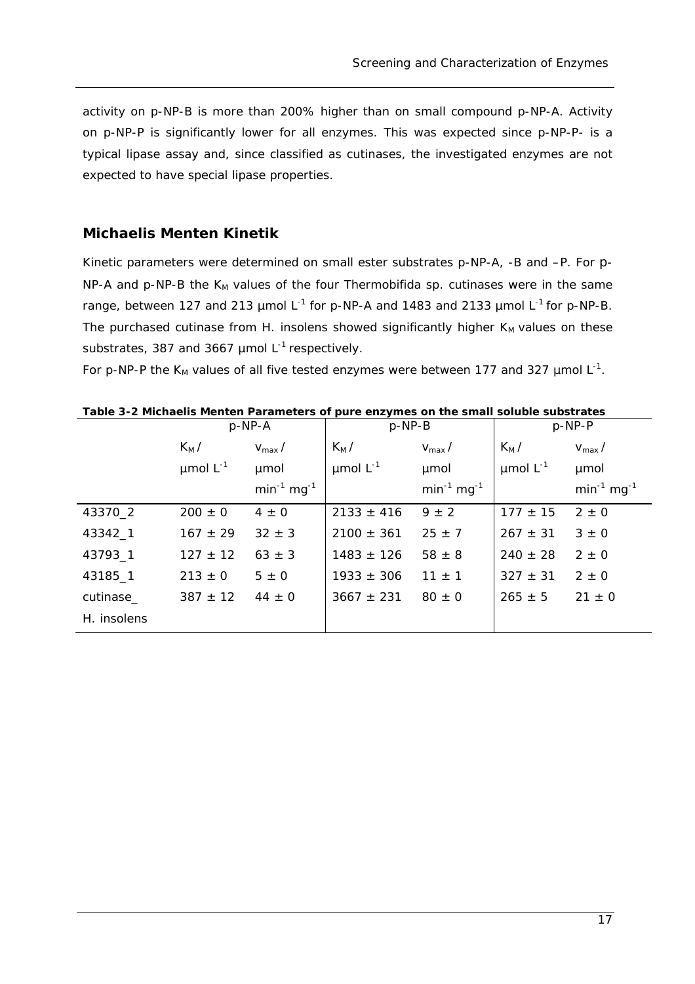activity on *p*-NP-B is more than 200% higher than on small compound *p*-NP-A. Activity on *p*-NP-P is significantly lower for all enzymes. This was expected since *p*-NP-P- is a typical lipase assay and, since classified as cutinases, the investigated enzymes are not expected to have special lipase properties.

#### *Michaelis Menten Kinetik*

Kinetic parameters were determined on small ester substrates *p*-NP-A, -B and –P. For *p*-NP-A and p-NP-B the K<sub>M</sub> values of the four *Thermobifida sp.* cutinases were in the same range, between 127 and 213 µmol L-1 for *p-*NP-A and 1483 and 2133 µmol L-1 for *p-*NP-B. The purchased cutinase from *H. insolens* showed significantly higher K<sub>M</sub> values on these substrates, 387 and 3667  $\mu$ mol L<sup>-1</sup> respectively.

For p-NP-P the  $K_M$  values of all five tested enzymes were between 177 and 327  $\mu$ mol L<sup>-1</sup>.

|             | $p$ -NP-A          |                    | $p$ -NP-B          |                    | $p$ -NP-P          |                    |
|-------------|--------------------|--------------------|--------------------|--------------------|--------------------|--------------------|
|             | $K_M/$             | $V_{\text{max}}/$  | $K_M/$             | $V_{\text{max}}/$  | $K_M/$             | $V_{\text{max}}/$  |
|             | $\mu$ mol $L^{-1}$ | umol               | $\mu$ mol $L^{-1}$ | umol               | $\mu$ mol $L^{-1}$ | umol               |
|             |                    | $min^{-1} mg^{-1}$ |                    | $min^{-1} mg^{-1}$ |                    | $min^{-1} mg^{-1}$ |
| 43370_2     | $200 \pm 0$        | $4 \pm 0$          | $2133 \pm 416$     | $9 \pm 2$          | $177 \pm 15$       | $2 \pm 0$          |
| 43342_1     | $167 \pm 29$       | $32 \pm 3$         | $2100 \pm 361$     | $25 \pm 7$         | $267 \pm 31$       | $3 \pm 0$          |
| 43793_1     | $127 \pm 12$       | $63 \pm 3$         | $1483 \pm 126$     | $58 \pm 8$         | $240 \pm 28$       | $2 \pm 0$          |
| 43185_1     | $213 \pm 0$        | $5 \pm 0$          | $1933 \pm 306$     | $11 \pm 1$         | $327 \pm 31$       | $2 \pm 0$          |
| cutinase_   | $387 \pm 12$       | $44 \pm 0$         | $3667 \pm 231$     | $80 \pm 0$         | $265 \pm 5$        | $21 \pm 0$         |
| H. insolens |                    |                    |                    |                    |                    |                    |

**Table 3-2 Michaelis Menten Parameters of pure enzymes on the small soluble substrates**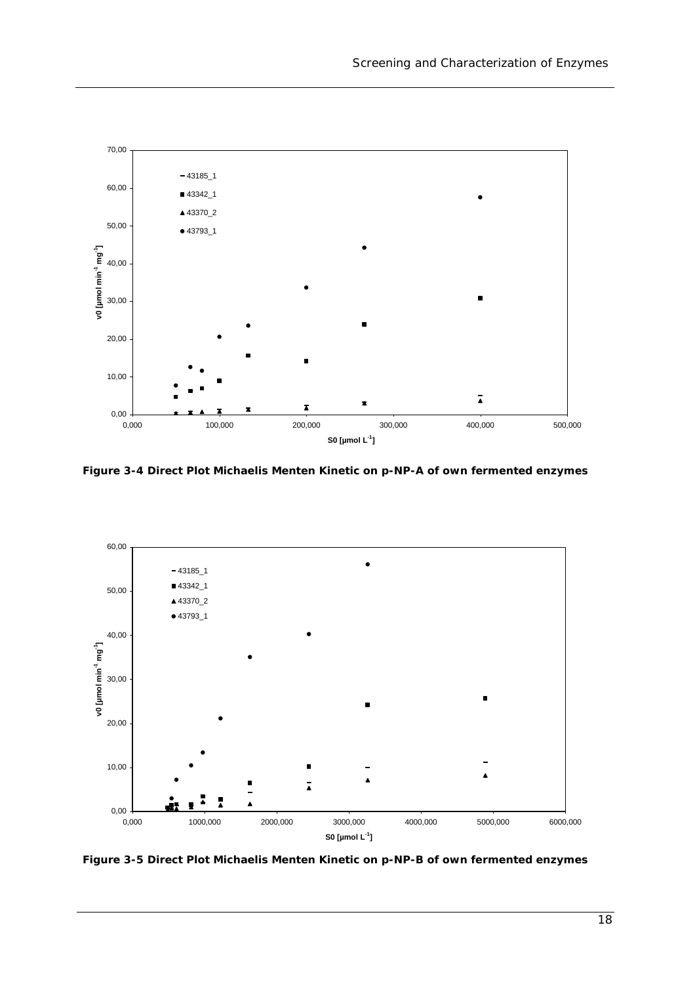

**Figure 3-4 Direct Plot Michaelis Menten Kinetic on** *p***-NP-A of own fermented enzymes** 



**Figure 3-5 Direct Plot Michaelis Menten Kinetic on** *p***-NP-B of own fermented enzymes**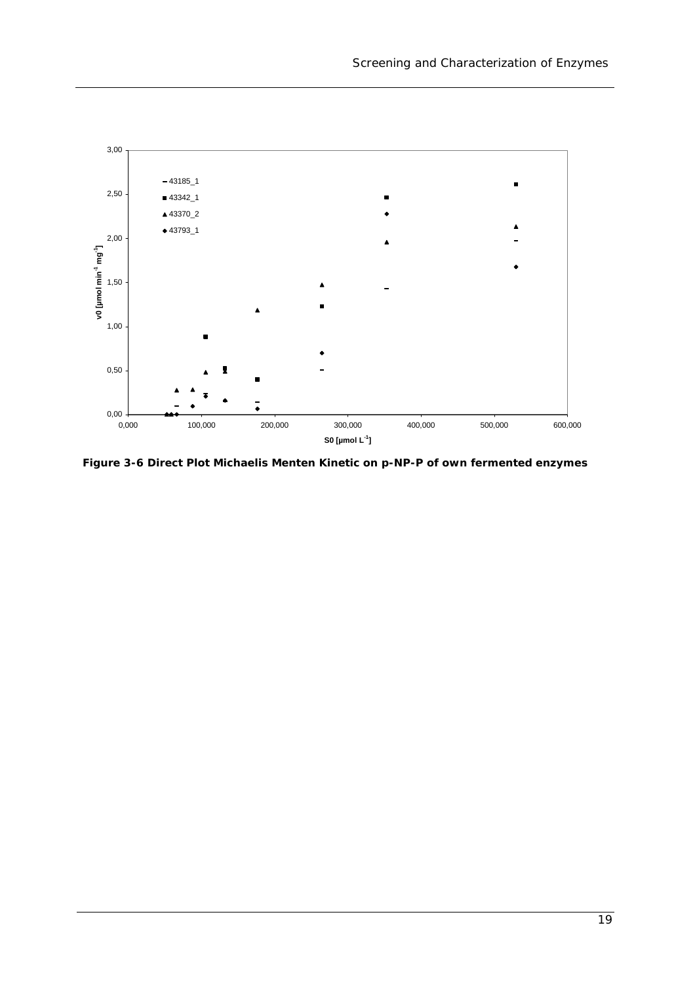

**Figure 3-6 Direct Plot Michaelis Menten Kinetic on** *p***-NP-P of own fermented enzymes**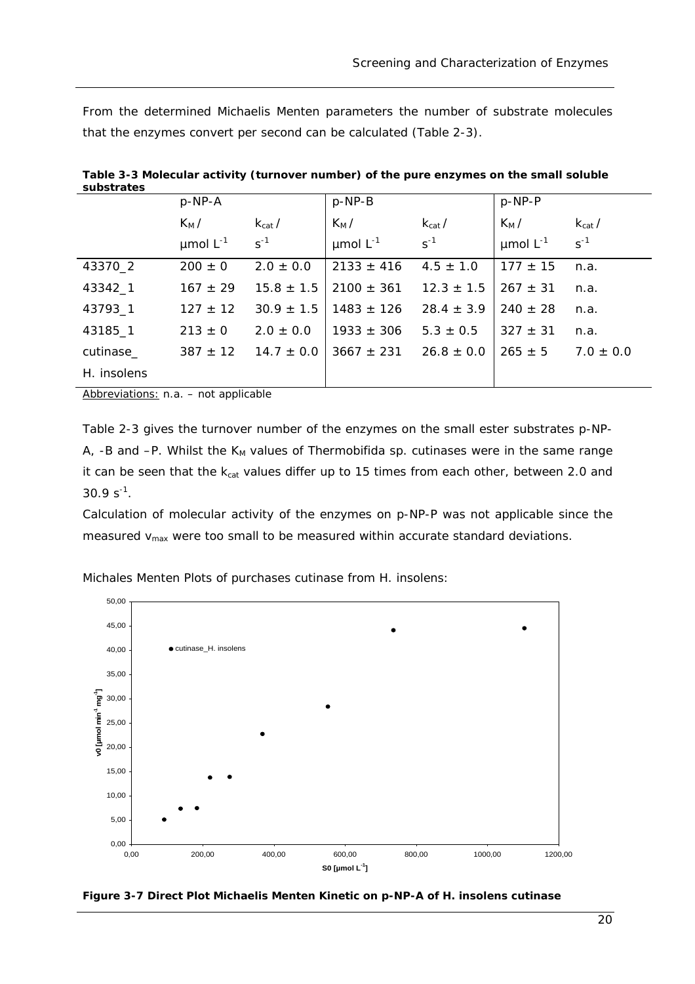From the determined Michaelis Menten parameters the number of substrate molecules that the enzymes convert per second can be calculated (Table 2-3).

| supsu ales  | $p$ -NP-A                    |                         | $p$ -NP-B                    |                         | $p-NP-P$                     |                         |
|-------------|------------------------------|-------------------------|------------------------------|-------------------------|------------------------------|-------------------------|
|             | $K_M/$<br>$\mu$ mol $L^{-1}$ | $k_{cat}$ /<br>$S^{-1}$ | $K_M/$<br>$\mu$ mol $L^{-1}$ | $k_{cat}$ /<br>$s^{-1}$ | $K_M/$<br>$\mu$ mol $L^{-1}$ | $k_{cat}$ /<br>$s^{-1}$ |
| 43370_2     | $200 \pm 0$                  | $2.0 \pm 0.0$           | $2133 \pm 416$               | $4.5 \pm 1.0$           | $177 \pm 15$                 | n.a.                    |
| 43342_1     | $167 \pm 29$                 | $15.8 \pm 1.5$          | $2100 \pm 361$               | $12.3 \pm 1.5$          | $267 \pm 31$                 | n.a.                    |
| 43793_1     | $127 \pm 12$                 | $30.9 \pm 1.5$          | $1483 \pm 126$               | $28.4 \pm 3.9$          | $240 \pm 28$                 | n.a.                    |
| 43185_1     | $213 \pm 0$                  | $2.0 \pm 0.0$           | $1933 \pm 306$               | $5.3 \pm 0.5$           | $327 \pm 31$                 | n.a.                    |
| cutinase_   | $387 \pm 12$                 | $14.7 \pm 0.0$          | $3667 \pm 231$               | $26.8 \pm 0.0$          | $265 \pm 5$                  | $7.0 \pm 0.0$           |
| H. insolens |                              |                         |                              |                         |                              |                         |

**Table 3-3 Molecular activity (turnover number) of the pure enzymes on the small soluble substrates** 

Abbreviations: n.a. – not applicable

Table 2-3 gives the turnover number of the enzymes on the small ester substrates *p*-NP-A,  $-B$  and  $-P$ . Whilst the  $K_M$  values of *Thermobifida sp.* cutinases were in the same range it can be seen that the  $k_{cat}$  values differ up to 15 times from each other, between 2.0 and  $30.9 s^{-1}$ .

Calculation of molecular activity of the enzymes on p-NP-P was not applicable since the measured  $v_{\text{max}}$  were too small to be measured within accurate standard deviations.



Michales Menten Plots of purchases cutinase from H. *insolens*:

**Figure 3-7 Direct Plot Michaelis Menten Kinetic on** *p***-NP-A of** *H. insolens* **cutinase**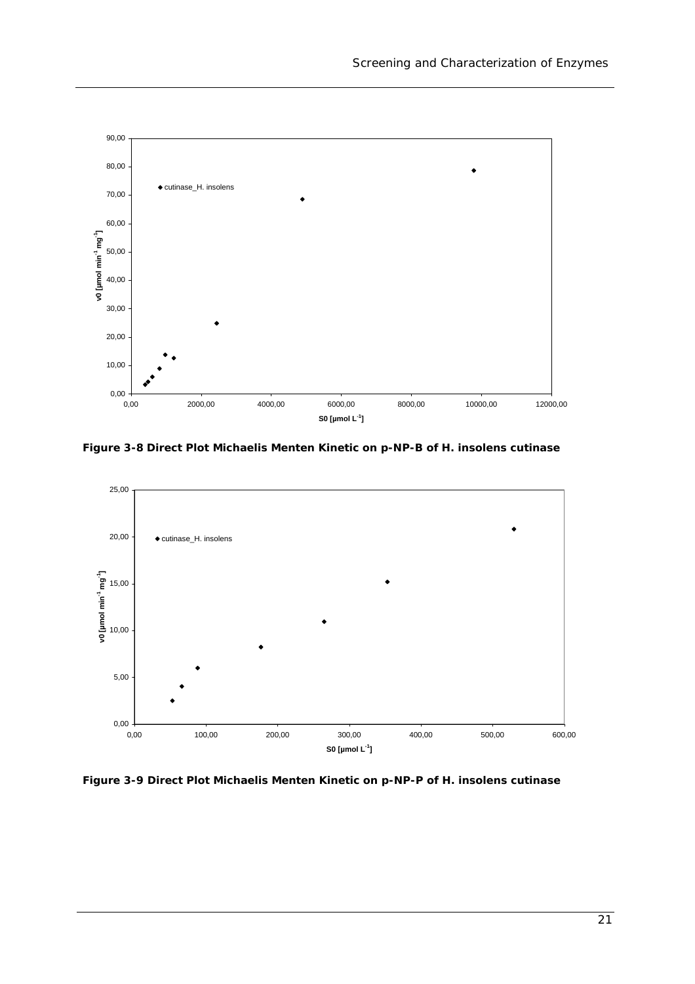

**Figure 3-8 Direct Plot Michaelis Menten Kinetic on** *p***-NP-B of** *H. insolens* **cutinase**



**Figure 3-9 Direct Plot Michaelis Menten Kinetic on** *p***-NP-P of** *H. insolens* **cutinase**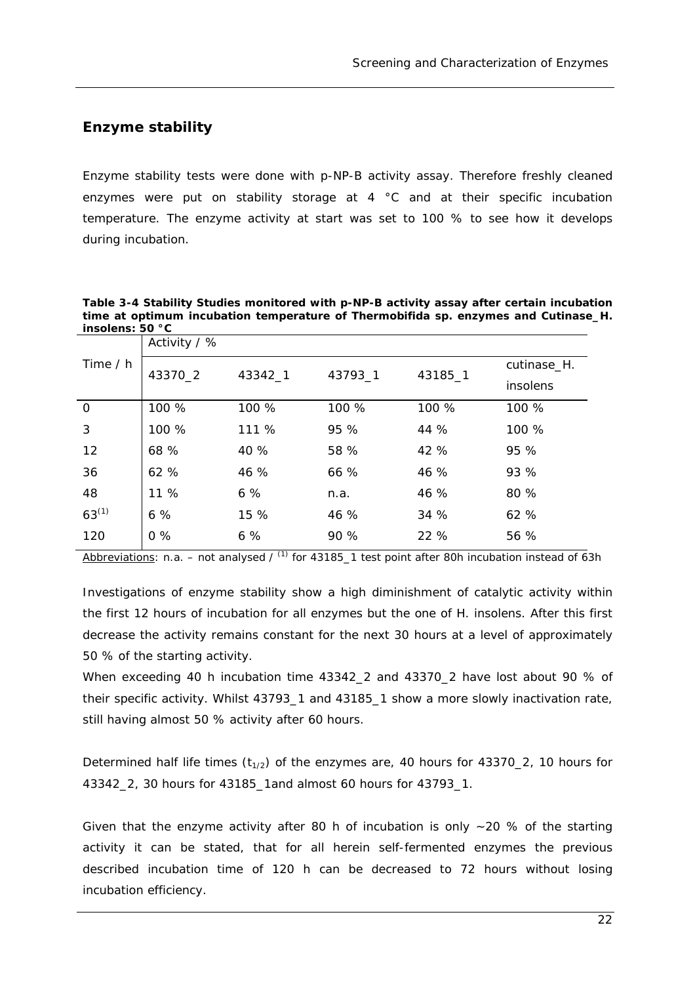### *Enzyme stability*

Enzyme stability tests were done with *p*-NP-B activity assay. Therefore freshly cleaned enzymes were put on stability storage at 4 °C and at their specific incubation temperature. The enzyme activity at start was set to 100 % to see how it develops during incubation.

**Table 3-4 Stability Studies monitored with p-NP-B activity assay after certain incubation time at optimum incubation temperature of** *Thermobifida sp***. enzymes and Cutinase\_H. insolens: 50 °C** 

| Time / h   | Activity $/$ % |         |         |         |             |  |
|------------|----------------|---------|---------|---------|-------------|--|
|            | 43370_2        | 43342_1 | 43793_1 | 43185_1 | cutinase_H. |  |
|            |                |         |         |         | insolens    |  |
| 0          | 100 %          | 100 %   | 100 %   | 100 %   | 100 %       |  |
| 3          | 100 %          | 111 %   | 95 %    | 44 %    | 100 %       |  |
| 12         | 68 %           | 40 %    | 58 %    | 42 %    | 95 %        |  |
| 36         | 62 %           | 46 %    | 66 %    | 46 %    | 93 %        |  |
| 48         | 11 %           | 6%      | n.a.    | 46 %    | 80 %        |  |
| $63^{(1)}$ | 6%             | 15 %    | 46 %    | 34 %    | 62 %        |  |
| 120        | $0\%$          | 6%      | 90 %    | 22 %    | 56 %        |  |

Abbreviations: n.a. – not analysed /  $^{(1)}$  for 43185 1 test point after 80h incubation instead of 63h

Investigations of enzyme stability show a high diminishment of catalytic activity within the first 12 hours of incubation for all enzymes but the one of *H. insolens*. After this first decrease the activity remains constant for the next 30 hours at a level of approximately 50 % of the starting activity.

When exceeding 40 h incubation time 43342\_2 and 43370\_2 have lost about 90 % of their specific activity. Whilst 43793\_1 and 43185\_1 show a more slowly inactivation rate, still having almost 50 % activity after 60 hours.

Determined half life times  $(t_{1/2})$  of the enzymes are, 40 hours for 43370\_2, 10 hours for 43342\_2, 30 hours for 43185\_1and almost 60 hours for 43793\_1.

Given that the enzyme activity after 80 h of incubation is only  $\sim$  20 % of the starting activity it can be stated, that for all herein self-fermented enzymes the previous described incubation time of 120 h can be decreased to 72 hours without losing incubation efficiency.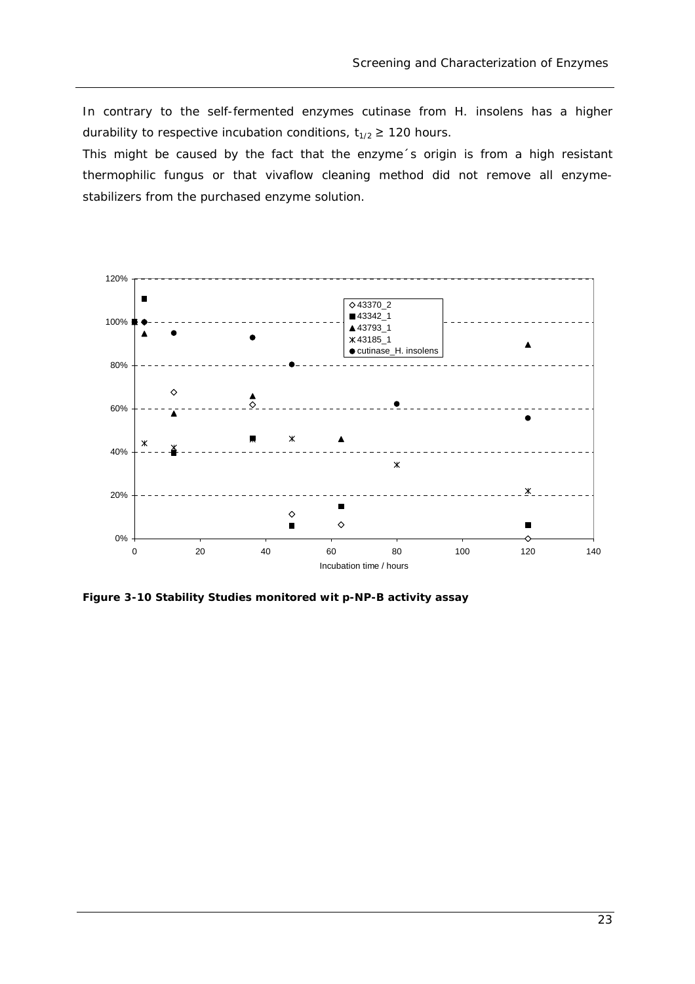In contrary to the self-fermented enzymes cutinase from *H. insolens* has a higher durability to respective incubation conditions,  $t_{1/2} \ge 120$  hours.

This might be caused by the fact that the enzyme´s origin is from a high resistant thermophilic fungus or that vivaflow cleaning method did not remove all enzymestabilizers from the purchased enzyme solution.



**Figure 3-10 Stability Studies monitored wit p-NP-B activity assay**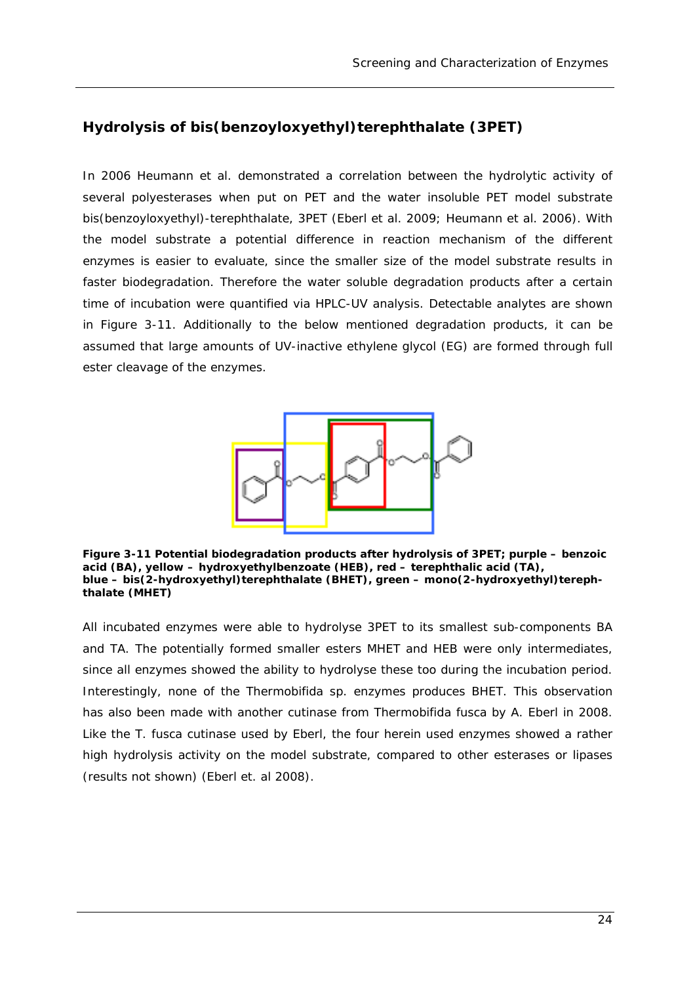## *Hydrolysis of bis(benzoyloxyethyl)terephthalate (3PET)*

In 2006 Heumann *et al.* demonstrated a correlation between the hydrolytic activity of several polyesterases when put on PET and the water insoluble PET model substrate bis(benzoyloxyethyl)-terephthalate, 3PET (Eberl *et al.* 2009; Heumann *et al.* 2006). With the model substrate a potential difference in reaction mechanism of the different enzymes is easier to evaluate, since the smaller size of the model substrate results in faster biodegradation. Therefore the water soluble degradation products after a certain time of incubation were quantified via HPLC-UV analysis. Detectable analytes are shown in Figure 3-11. Additionally to the below mentioned degradation products, it can be assumed that large amounts of UV-inactive ethylene glycol (EG) are formed through full ester cleavage of the enzymes.



**Figure 3-11 Potential biodegradation products after hydrolysis of 3PET; purple – benzoic acid (BA), yellow – hydroxyethylbenzoate (HEB), red – terephthalic acid (TA), blue – bis(2-hydroxyethyl)terephthalate (BHET), green – mono(2-hydroxyethyl)terephthalate (MHET)** 

All incubated enzymes were able to hydrolyse 3PET to its smallest sub-components BA and TA. The potentially formed smaller esters MHET and HEB were only intermediates, since all enzymes showed the ability to hydrolyse these too during the incubation period. Interestingly, none of the *Thermobifida sp.* enzymes produces BHET. This observation has also been made with another cutinase from *Thermobifida fusca* by A. Eberl in 2008. Like the *T. fusca* cutinase used by Eberl, the four herein used enzymes showed a rather high hydrolysis activity on the model substrate, compared to other esterases or lipases (results not shown) (Eberl et. al 2008).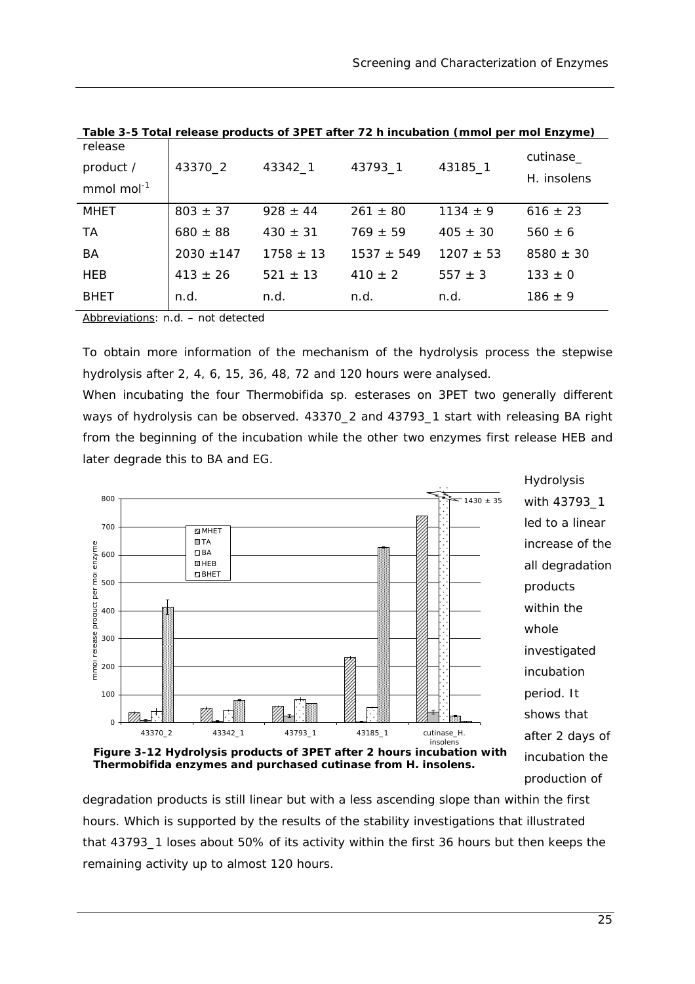|                                                | $\frac{1}{2}$ and $\frac{1}{2}$ are $\frac{1}{2}$ . The state of $\frac{1}{2}$ and $\frac{1}{2}$ is the state of $\frac{1}{2}$ and $\frac{1}{2}$ are $\frac{1}{2}$ and $\frac{1}{2}$ are $\frac{1}{2}$ and $\frac{1}{2}$ are $\frac{1}{2}$ and $\frac{1}{2}$ are $\frac{1}{2}$ and $\$ |               |                |              |                          |
|------------------------------------------------|----------------------------------------------------------------------------------------------------------------------------------------------------------------------------------------------------------------------------------------------------------------------------------------|---------------|----------------|--------------|--------------------------|
| release<br>product /<br>mmol mol <sup>-1</sup> | 43370_2                                                                                                                                                                                                                                                                                | 43342_1       | 43793_1        | 43185_1      | cutinase_<br>H. insolens |
| MHET                                           | $803 \pm 37$                                                                                                                                                                                                                                                                           | $928 \pm 44$  | $261 \pm 80$   | $1134 \pm 9$ | $616 \pm 23$             |
| <b>TA</b>                                      | $680 \pm 88$                                                                                                                                                                                                                                                                           | $430 \pm 31$  | $769 \pm 59$   | $405 \pm 30$ | $560 \pm 6$              |
| BA                                             | $2030 \pm 147$                                                                                                                                                                                                                                                                         | $1758 \pm 13$ | $1537 \pm 549$ | $1207 + 53$  | $8580 \pm 30$            |
| <b>HEB</b>                                     | $413 \pm 26$                                                                                                                                                                                                                                                                           | $521 \pm 13$  | $410 \pm 2$    | $557 \pm 3$  | $133 \pm 0$              |
| <b>BHET</b>                                    | n.d.                                                                                                                                                                                                                                                                                   | n.d.          | n.d.           | n.d.         | $186 \pm 9$              |
|                                                |                                                                                                                                                                                                                                                                                        |               |                |              |                          |

**Table 3-5 Total release products of 3PET after 72 h incubation (mmol per mol Enzyme)** 

Abbreviations: n.d. – not detected

To obtain more information of the mechanism of the hydrolysis process the stepwise hydrolysis after 2, 4, 6, 15, 36, 48, 72 and 120 hours were analysed.

When incubating the four *Thermobifida sp.* esterases on 3PET two generally different ways of hydrolysis can be observed. 43370 2 and 43793 1 start with releasing BA right from the beginning of the incubation while the other two enzymes first release HEB and later degrade this to BA and EG.



**Thermobifida enzymes and purchased cutinase from** *H. insolens***.** 

degradation products is still linear but with a less ascending slope than within the first hours. Which is supported by the results of the stability investigations that illustrated that 43793\_1 loses about 50% of its activity within the first 36 hours but then keeps the remaining activity up to almost 120 hours.

production of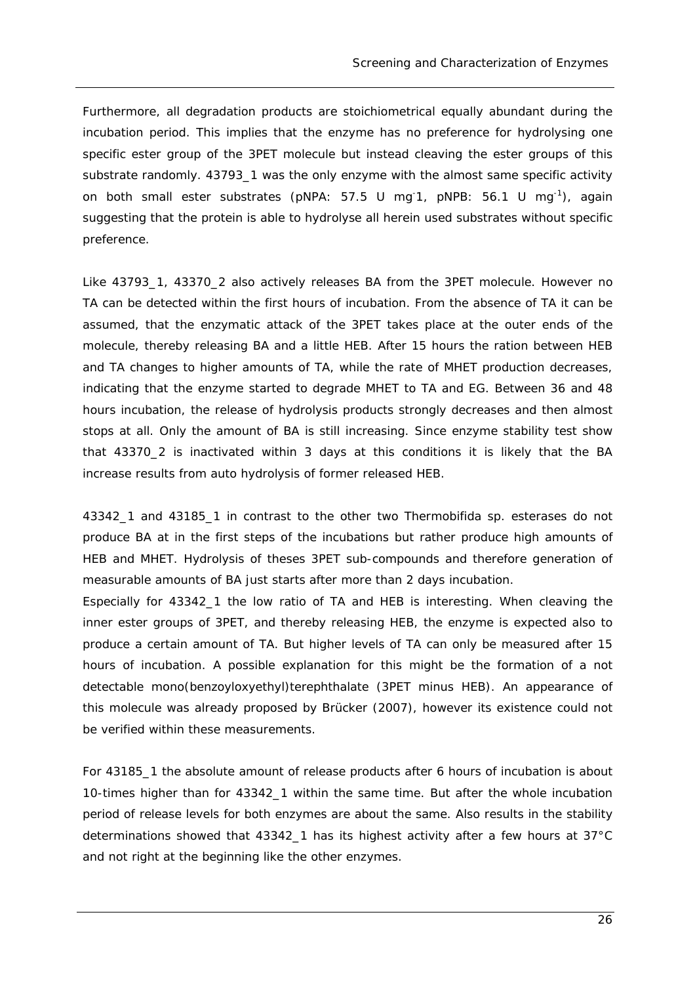Furthermore, all degradation products are stoichiometrical equally abundant during the incubation period. This implies that the enzyme has no preference for hydrolysing one specific ester group of the 3PET molecule but instead cleaving the ester groups of this substrate randomly. 43793 1 was the only enzyme with the almost same specific activity on both small ester substrates (pNPA:  $57.5$  U mg<sup>-1</sup>, pNPB:  $56.1$  U mg<sup>-1</sup>), again suggesting that the protein is able to hydrolyse all herein used substrates without specific preference.

Like 43793\_1, 43370\_2 also actively releases BA from the 3PET molecule. However no TA can be detected within the first hours of incubation. From the absence of TA it can be assumed, that the enzymatic attack of the 3PET takes place at the outer ends of the molecule, thereby releasing BA and a little HEB. After 15 hours the ration between HEB and TA changes to higher amounts of TA, while the rate of MHET production decreases, indicating that the enzyme started to degrade MHET to TA and EG. Between 36 and 48 hours incubation, the release of hydrolysis products strongly decreases and then almost stops at all. Only the amount of BA is still increasing. Since enzyme stability test show that 43370\_2 is inactivated within 3 days at this conditions it is likely that the BA increase results from auto hydrolysis of former released HEB.

43342\_1 and 43185\_1 in contrast to the other two *Thermobifida sp.* esterases do not produce BA at in the first steps of the incubations but rather produce high amounts of HEB and MHET. Hydrolysis of theses 3PET sub-compounds and therefore generation of measurable amounts of BA just starts after more than 2 days incubation.

Especially for 43342\_1 the low ratio of TA and HEB is interesting. When cleaving the inner ester groups of 3PET, and thereby releasing HEB, the enzyme is expected also to produce a certain amount of TA. But higher levels of TA can only be measured after 15 hours of incubation. A possible explanation for this might be the formation of a not detectable mono(benzoyloxyethyl)terephthalate (3PET minus HEB). An appearance of this molecule was already proposed by Brücker (2007), however its existence could not be verified within these measurements.

For 43185\_1 the absolute amount of release products after 6 hours of incubation is about 10-times higher than for 43342\_1 within the same time. But after the whole incubation period of release levels for both enzymes are about the same. Also results in the stability determinations showed that 43342\_1 has its highest activity after a few hours at 37°C and not right at the beginning like the other enzymes.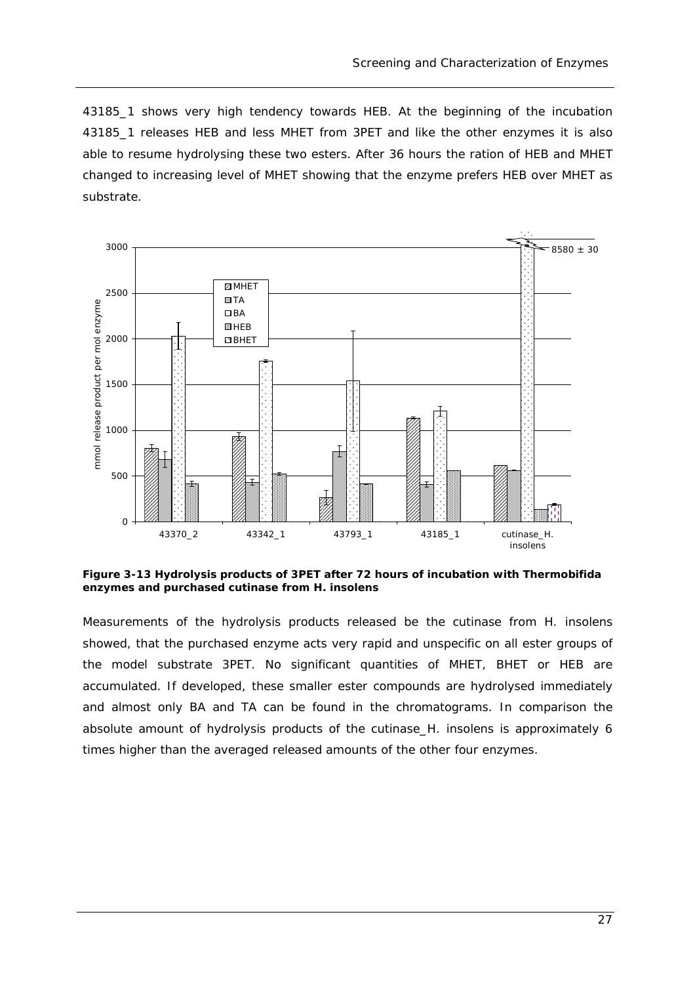43185\_1 shows very high tendency towards HEB. At the beginning of the incubation 43185\_1 releases HEB and less MHET from 3PET and like the other enzymes it is also able to resume hydrolysing these two esters. After 36 hours the ration of HEB and MHET changed to increasing level of MHET showing that the enzyme prefers HEB over MHET as substrate.



**Figure 3-13 Hydrolysis products of 3PET after 72 hours of incubation with Thermobifida enzymes and purchased cutinase from** *H. insolens*

Measurements of the hydrolysis products released be the cutinase from *H. insolens*  showed, that the purchased enzyme acts very rapid and unspecific on all ester groups of the model substrate 3PET. No significant quantities of MHET, BHET or HEB are accumulated. If developed, these smaller ester compounds are hydrolysed immediately and almost only BA and TA can be found in the chromatograms. In comparison the absolute amount of hydrolysis products of the cutinase\_*H. insolens* is approximately 6 times higher than the averaged released amounts of the other four enzymes.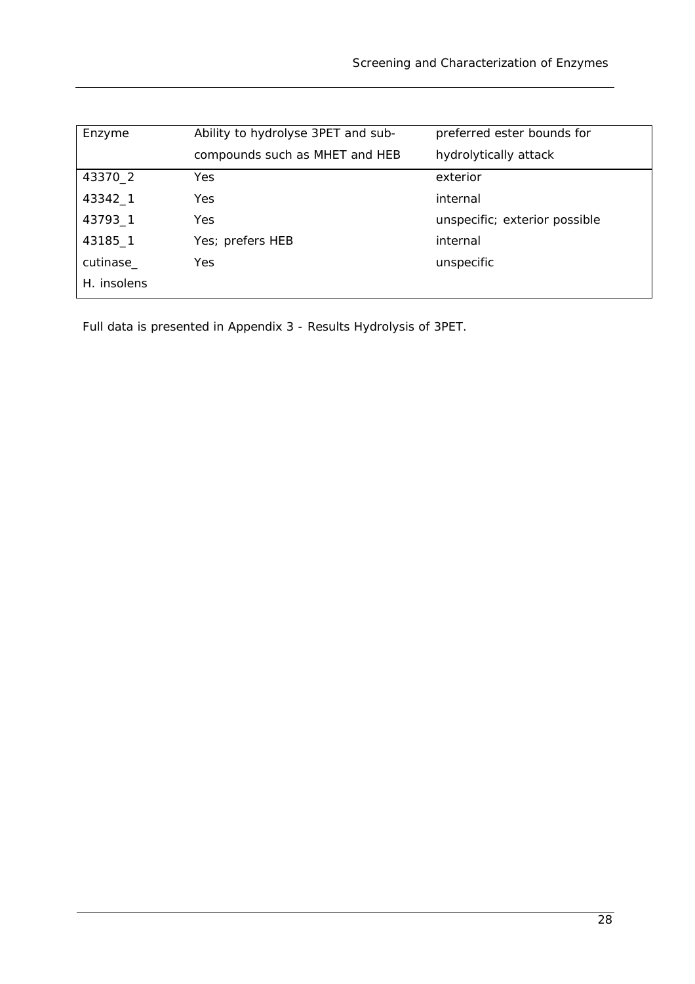| Enzyme      | Ability to hydrolyse 3PET and sub- | preferred ester bounds for    |
|-------------|------------------------------------|-------------------------------|
|             | compounds such as MHET and HEB     | hydrolytically attack         |
| 43370_2     | <b>Yes</b>                         | exterior                      |
| 43342_1     | <b>Yes</b>                         | internal                      |
| 43793_1     | Yes                                | unspecific; exterior possible |
| 43185_1     | Yes; prefers HEB                   | internal                      |
| cutinase_   | Yes                                | unspecific                    |
| H. insolens |                                    |                               |

Full data is presented in Appendix 3 - Results Hydrolysis of 3PET.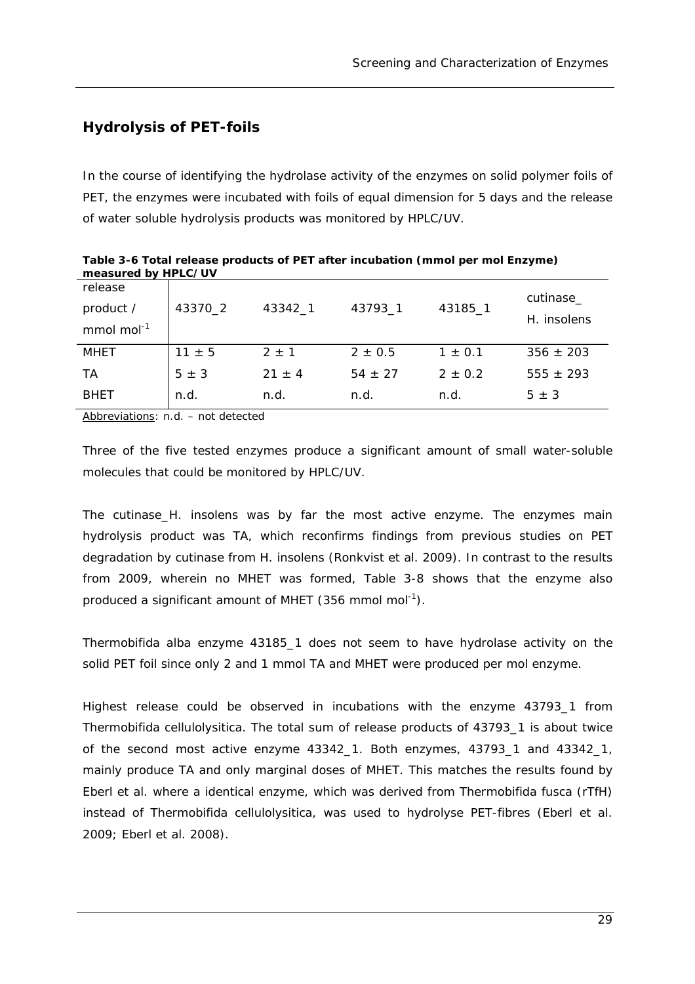## *Hydrolysis of PET-foils*

In the course of identifying the hydrolase activity of the enzymes on solid polymer foils of PET, the enzymes were incubated with foils of equal dimension for 5 days and the release of water soluble hydrolysis products was monitored by HPLC/UV.

| measured by HPLC/UV                            |            |            |             |             |                          |
|------------------------------------------------|------------|------------|-------------|-------------|--------------------------|
| release<br>product /<br>mmol mol <sup>-1</sup> | 43370_2    | 43342 1    | 43793_1     | 43185_1     | cutinase_<br>H. insolens |
|                                                |            |            |             |             |                          |
| <b>MHET</b>                                    | $11 \pm 5$ | $2 \pm 1$  | $2 \pm 0.5$ | $1 \pm 0.1$ | $356 \pm 203$            |
| TA                                             | $5 \pm 3$  | $21 \pm 4$ | $54 \pm 27$ | $2 \pm 0.2$ | $555 \pm 293$            |
| <b>BHET</b>                                    | n.d.       | n.d.       | n.d.        | n.d.        | $5 \pm 3$                |
|                                                |            |            |             |             |                          |

**Table 3-6 Total release products of PET after incubation (mmol per mol Enzyme) measured by HPLC/UV** 

Abbreviations: n.d. – not detected

Three of the five tested enzymes produce a significant amount of small water-soluble molecules that could be monitored by HPLC/UV.

The cutinase\_*H. insolens* was by far the most active enzyme. The enzymes main hydrolysis product was TA, which reconfirms findings from previous studies on PET degradation by cutinase from *H. insolens (*Ronkvist *et al.* 2009). In contrast to the results from 2009, wherein no MHET was formed, Table 3-8 shows that the enzyme also produced a significant amount of MHET (356 mmol mol<sup>-1</sup>).

*Thermobifida alba* enzyme 43185\_1 does not seem to have hydrolase activity on the solid PET foil since only 2 and 1 mmol TA and MHET were produced per mol enzyme.

Highest release could be observed in incubations with the enzyme 43793\_1 from *Thermobifida cellulolysitica.* The total sum of release products of 43793\_1 is about twice of the second most active enzyme 43342\_1. Both enzymes, 43793\_1 and 43342\_1, mainly produce TA and only marginal doses of MHET. This matches the results found by Eberl *et al.* where a identical enzyme, which was derived from *Thermobifida fusca* (rTfH) instead of *Thermobifida cellulolysitica,* was used to hydrolyse PET-fibres (Eberl *et al.* 2009; Eberl *et al.* 2008).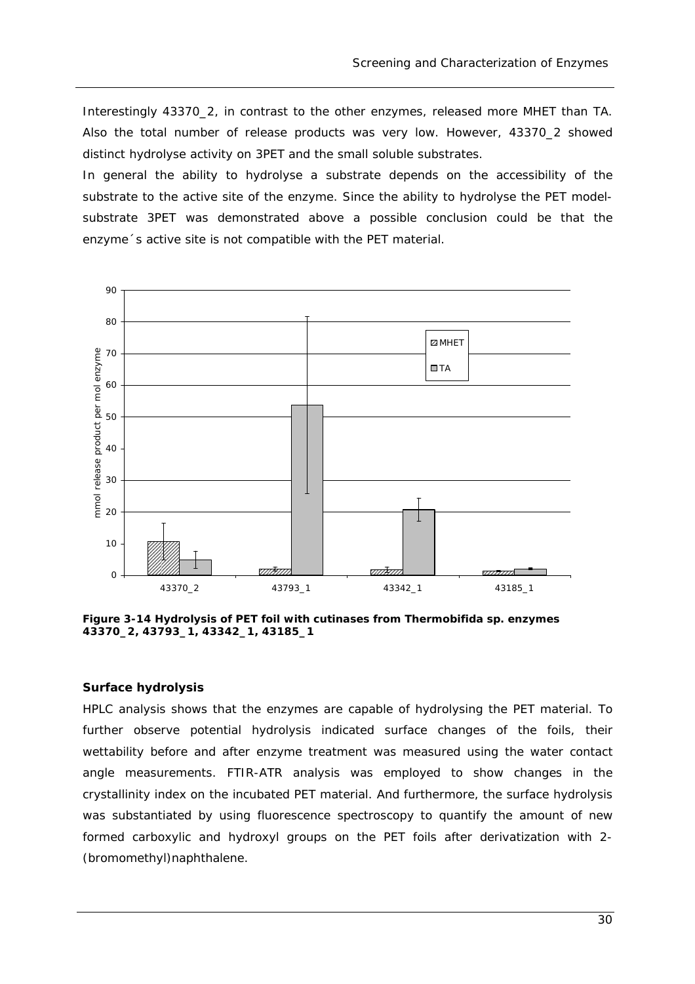Interestingly 43370\_2, in contrast to the other enzymes, released more MHET than TA. Also the total number of release products was very low. However, 43370\_2 showed distinct hydrolyse activity on 3PET and the small soluble substrates.

In general the ability to hydrolyse a substrate depends on the accessibility of the substrate to the active site of the enzyme. Since the ability to hydrolyse the PET modelsubstrate 3PET was demonstrated above a possible conclusion could be that the enzyme´s active site is not compatible with the PET material.



**Figure 3-14 Hydrolysis of PET foil with cutinases from** *Thermobifida sp.* **enzymes 43370\_2, 43793\_1, 43342\_1, 43185\_1** 

#### **Surface hydrolysis**

HPLC analysis shows that the enzymes are capable of hydrolysing the PET material. To further observe potential hydrolysis indicated surface changes of the foils, their wettability before and after enzyme treatment was measured using the water contact angle measurements. FTIR-ATR analysis was employed to show changes in the crystallinity index on the incubated PET material. And furthermore, the surface hydrolysis was substantiated by using fluorescence spectroscopy to quantify the amount of new formed carboxylic and hydroxyl groups on the PET foils after derivatization with 2- (bromomethyl)naphthalene.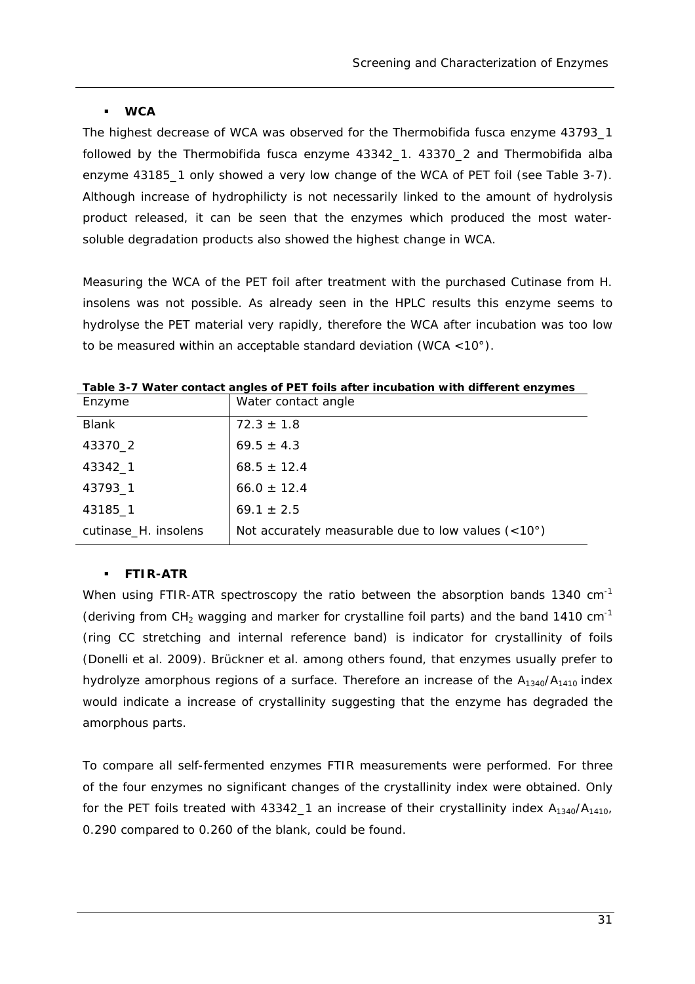#### **WCA**

The highest decrease of WCA was observed for the *Thermobifida fusca* enzyme 43793\_1 followed by the *Thermobifida fusca* enzyme 43342\_1. 43370\_2 and *Thermobifida alba* enzyme 43185 1 only showed a very low change of the WCA of PET foil (see Table 3-7). Although increase of hydrophilicty is not necessarily linked to the amount of hydrolysis product released, it can be seen that the enzymes which produced the most watersoluble degradation products also showed the highest change in WCA.

Measuring the WCA of the PET foil after treatment with the purchased Cutinase from *H. insolens* was not possible. As already seen in the HPLC results this enzyme seems to hydrolyse the PET material very rapidly, therefore the WCA after incubation was too low to be measured within an acceptable standard deviation (WCA <10°).

| Enzyme               | Water contact angle                                         |
|----------------------|-------------------------------------------------------------|
| <b>Blank</b>         | $72.3 \pm 1.8$                                              |
| 43370_2              | $69.5 \pm 4.3$                                              |
| 43342_1              | $68.5 \pm 12.4$                                             |
| 43793_1              | $66.0 \pm 12.4$                                             |
| 43185_1              | $69.1 \pm 2.5$                                              |
| cutinase_H. insolens | Not accurately measurable due to low values $(<10^{\circ})$ |

**Table 3-7 Water contact angles of PET foils after incubation with different enzymes** 

#### **FTIR-ATR**

When using FTIR-ATR spectroscopy the ratio between the absorption bands 1340 cm<sup>-1</sup> (deriving from  $CH_2$  wagging and marker for crystalline foil parts) and the band 1410 cm<sup>-1</sup> (ring CC stretching and internal reference band) is indicator for crystallinity of foils (Donelli *et al.* 2009). Brückner *et al.* among others found, that enzymes usually prefer to hydrolyze amorphous regions of a surface. Therefore an increase of the  $A_{1340}/A_{1410}$  index would indicate a increase of crystallinity suggesting that the enzyme has degraded the amorphous parts.

To compare all self-fermented enzymes FTIR measurements were performed. For three of the four enzymes no significant changes of the crystallinity index were obtained. Only for the PET foils treated with 43342\_1 an increase of their crystallinity index  $A_{1340}/A_{1410}$ , 0.290 compared to 0.260 of the blank, could be found.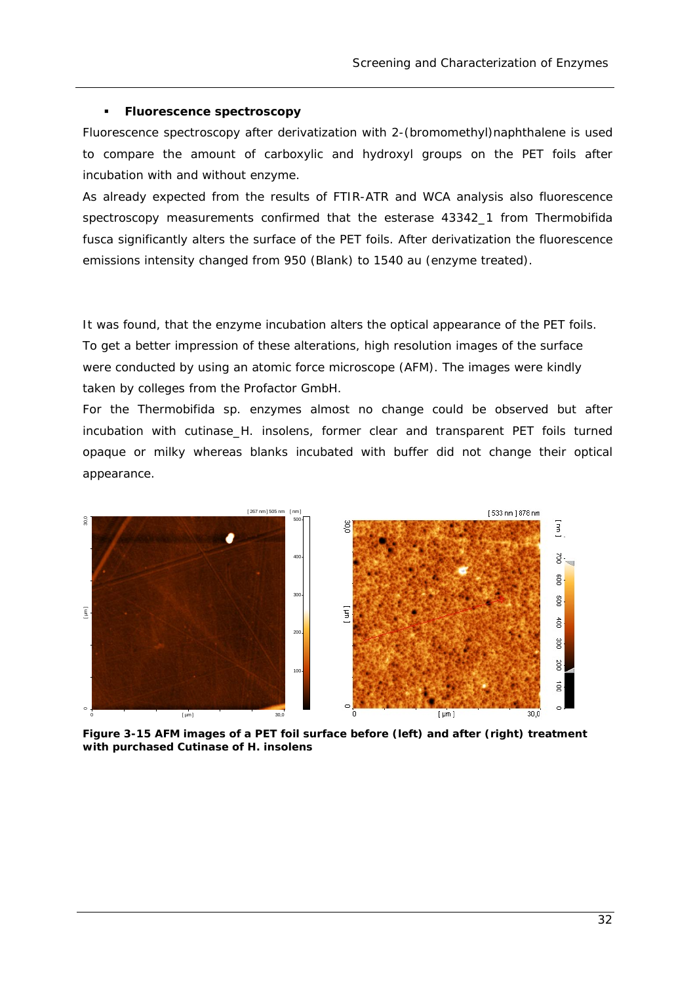#### **Fluorescence spectroscopy**

Fluorescence spectroscopy after derivatization with 2-(bromomethyl)naphthalene is used to compare the amount of carboxylic and hydroxyl groups on the PET foils after incubation with and without enzyme.

As already expected from the results of FTIR-ATR and WCA analysis also fluorescence spectroscopy measurements confirmed that the esterase 43342\_1 from *Thermobifida fusca* significantly alters the surface of the PET foils. After derivatization the fluorescence emissions intensity changed from 950 (Blank) to 1540 au (enzyme treated).

It was found, that the enzyme incubation alters the optical appearance of the PET foils. To get a better impression of these alterations, high resolution images of the surface were conducted by using an atomic force microscope (AFM). The images were kindly taken by colleges from the Profactor GmbH.

For the Thermobifida *sp.* enzymes almost no change could be observed but after incubation with cutinase\_*H. insolens,* former clear and transparent PET foils turned opaque or milky whereas blanks incubated with buffer did not change their optical appearance.



**Figure 3-15 AFM images of a PET foil surface before (left) and after (right) treatment with purchased Cutinase of H.** *insolens*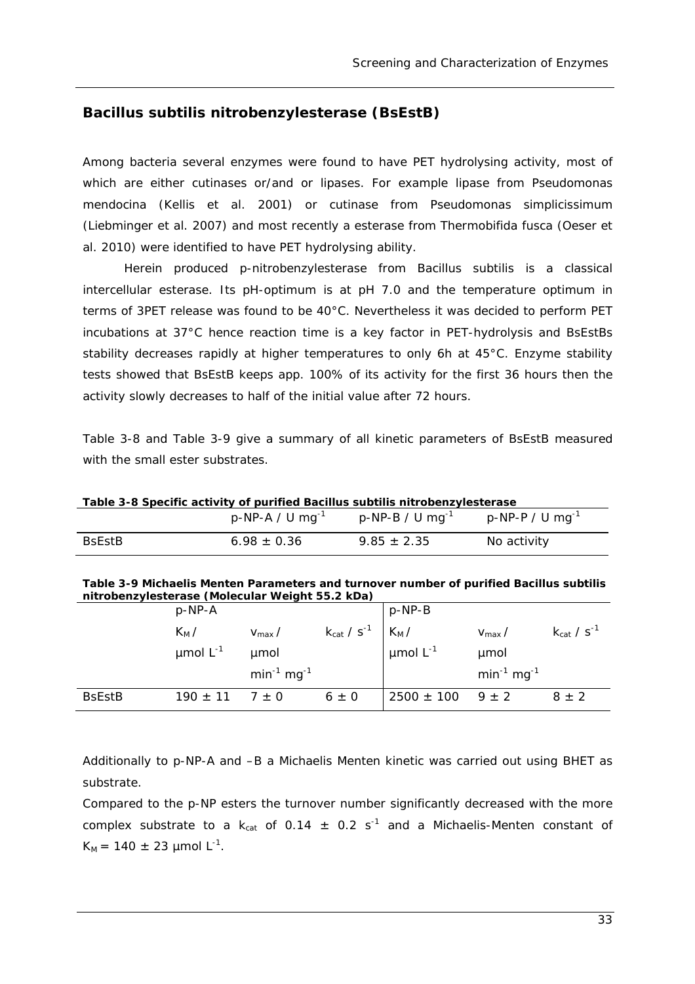### *Bacillus subtilis nitrobenzylesterase (BsEstB)*

Among bacteria several enzymes were found to have PET hydrolysing activity, most of which are either cutinases or/and or lipases. For example lipase from *Pseudomonas mendocina* (Kellis *et al.* 2001) or cutinase from *Pseudomonas simplicissimum* (Liebminger *et al.* 2007) and most recently a esterase from *Thermobifida fusca* (Oeser *et al.* 2010) were identified to have PET hydrolysing ability.

Herein produced p-nitrobenzylesterase from *Bacillus subtilis* is a classical intercellular esterase. Its pH-optimum is at pH 7.0 and the temperature optimum in terms of 3PET release was found to be 40°C. Nevertheless it was decided to perform PET incubations at 37°C hence reaction time is a key factor in PET-hydrolysis and BsEstBs stability decreases rapidly at higher temperatures to only 6h at 45°C. Enzyme stability tests showed that BsEstB keeps app. 100% of its activity for the first 36 hours then the activity slowly decreases to half of the initial value after 72 hours.

Table 3-8 and Table 3-9 give a summary of all kinetic parameters of BsEstB measured with the small ester substrates.

| Table 3-8 Specific activity of purified <i>Bacillus subtilis</i> nitrobenzylesterase |                                |                                |                                |  |  |
|--------------------------------------------------------------------------------------|--------------------------------|--------------------------------|--------------------------------|--|--|
|                                                                                      | $p$ -NP-A / U mg <sup>-1</sup> | $p$ -NP-B / U mg <sup>-1</sup> | $p$ -NP-P / U mg <sup>-1</sup> |  |  |
| <b>B</b> sEstB                                                                       | $6.98 \pm 0.36$                | $9.85 \pm 2.35$                | No activity                    |  |  |

**Table 3-8 Specific activity of purified** *Bacillus subtilis* **nitrobenzylesterase** 

| Table 3-9 Michaelis Menten Parameters and turnover number of purified Bacillus subtilis |  |
|-----------------------------------------------------------------------------------------|--|
| nitrobenzylesterase (Molecular Weight 55.2 kDa)                                         |  |

|                            | $p$ -NP-A              |                    |           | $p-NP-B$                                                                                        |                    |                      |
|----------------------------|------------------------|--------------------|-----------|-------------------------------------------------------------------------------------------------|--------------------|----------------------|
|                            | $K_M/$                 | $V_{\text{max}}/$  |           | $k_{cat}$ / s <sup>-1</sup> $\begin{array}{ l } k_M / \\ \hline \text{µmol L}^{-1} \end{array}$ | $V_{\text{max}}/$  | $k_{cat}$ / $s^{-1}$ |
|                            | $\mu$ mol $L^{-1}$     | umol               |           |                                                                                                 | umol               |                      |
|                            |                        | $min^{-1} mg^{-1}$ |           |                                                                                                 | $min^{-1} mg^{-1}$ |                      |
| <b>B</b> sEst <sub>B</sub> | $190 \pm 11$ $7 \pm 0$ |                    | $6 \pm 0$ | $2500 \pm 100$ 9 ± 2                                                                            |                    | $8 \pm 2$            |

Additionally to *p*-NP-A and –B a Michaelis Menten kinetic was carried out using BHET as substrate.

Compared to the p-NP esters the turnover number significantly decreased with the more complex substrate to a  $k_{cat}$  of 0.14  $\pm$  0.2 s<sup>-1</sup> and a Michaelis-Menten constant of  $K_M = 140 \pm 23$  µmol L<sup>-1</sup>.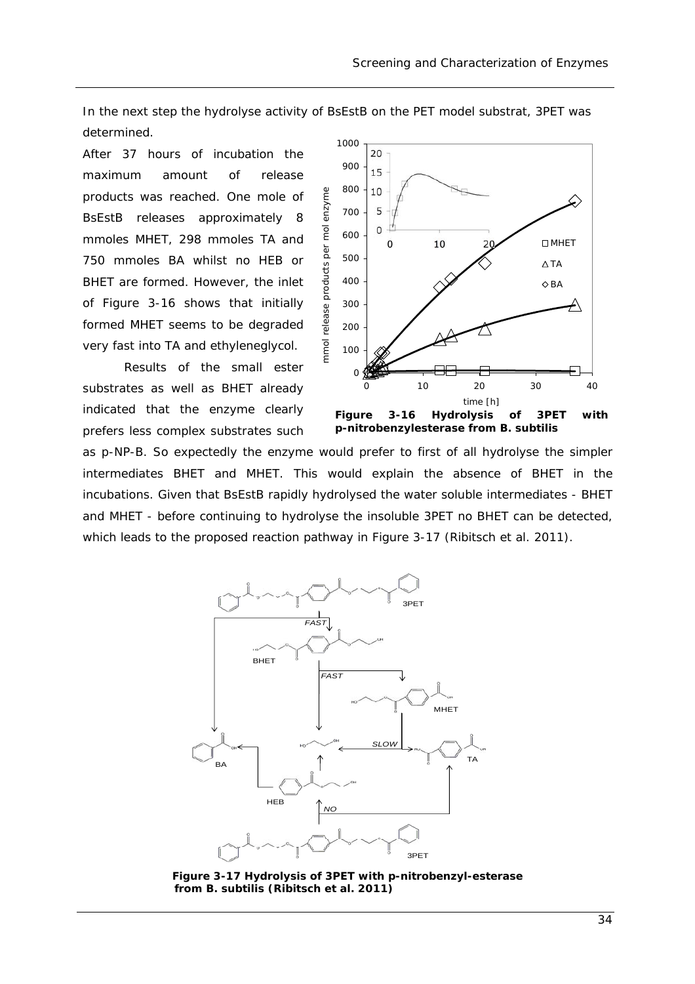In the next step the hydrolyse activity of BsEstB on the PET model substrat, 3PET was determined.

enzyme

nmol

After 37 hours of incubation the maximum amount of release products was reached. One mole of BsEstB releases approximately 8 mmoles MHET, 298 mmoles TA and 750 mmoles BA whilst no HEB or BHET are formed. However, the inlet of Figure 3-16 shows that initially formed MHET seems to be degraded very fast into TA and ethyleneglycol.

Results of the small ester substrates as well as BHET already indicated that the enzyme clearly prefers less complex substrates such



**p-nitrobenzylesterase from** *B. subtilis*

as *p*-NP-B. So expectedly the enzyme would prefer to first of all hydrolyse the simpler intermediates BHET and MHET. This would explain the absence of BHET in the incubations. Given that BsEstB rapidly hydrolysed the water soluble intermediates - BHET and MHET - before continuing to hydrolyse the insoluble 3PET no BHET can be detected, which leads to the proposed reaction pathway in Figure 3-17 (Ribitsch *et al.* 2011).



**Figure 3-17 Hydrolysis of 3PET with p-nitrobenzyl-esterase from** *B. subtilis* **(Ribitsch** *et al.* **2011)**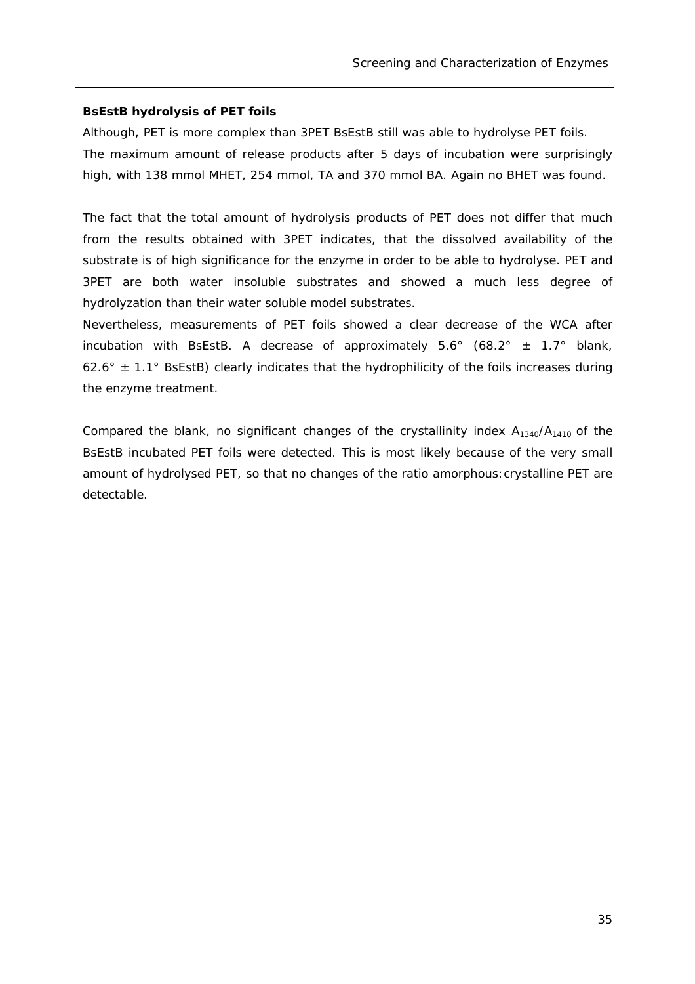#### **BsEstB hydrolysis of PET foils**

Although, PET is more complex than 3PET BsEstB still was able to hydrolyse PET foils. The maximum amount of release products after 5 days of incubation were surprisingly high, with 138 mmol MHET, 254 mmol, TA and 370 mmol BA. Again no BHET was found.

The fact that the total amount of hydrolysis products of PET does not differ that much from the results obtained with 3PET indicates, that the dissolved availability of the substrate is of high significance for the enzyme in order to be able to hydrolyse. PET and 3PET are both water insoluble substrates and showed a much less degree of hydrolyzation than their water soluble model substrates.

Nevertheless, measurements of PET foils showed a clear decrease of the WCA after incubation with BsEstB. A decrease of approximately  $5.6^{\circ}$  (68.2°  $\pm$  1.7° blank, 62.6°  $\pm$  1.1° BsEstB) clearly indicates that the hydrophilicity of the foils increases during the enzyme treatment.

Compared the blank, no significant changes of the crystallinity index  $A_{1340}/A_{1410}$  of the BsEstB incubated PET foils were detected. This is most likely because of the very small amount of hydrolysed PET, so that no changes of the ratio amorphous:crystalline PET are detectable.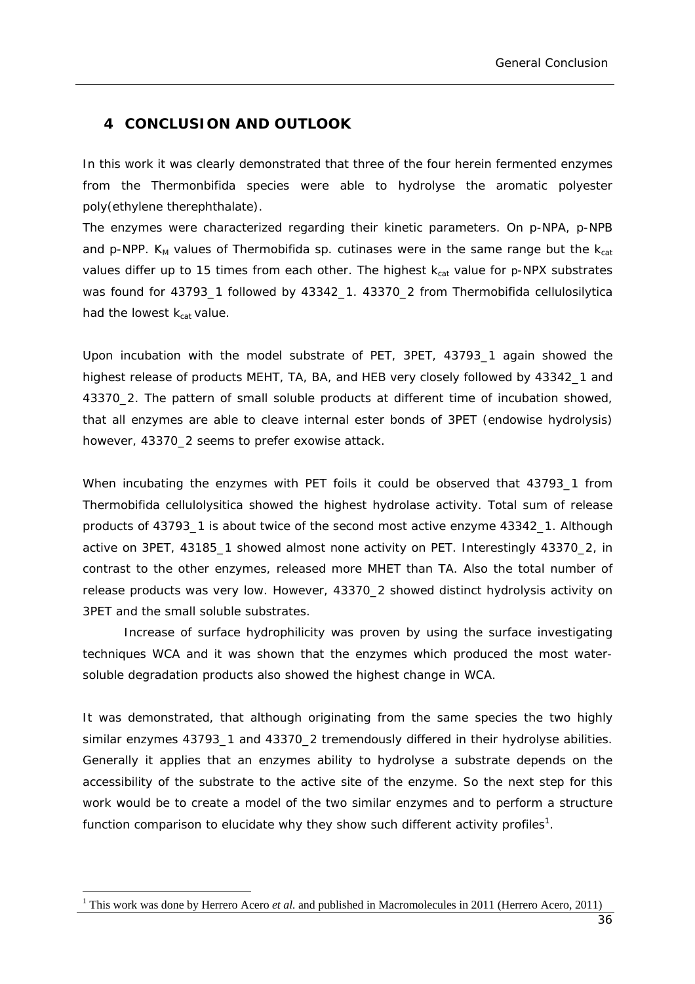### **4 CONCLUSION AND OUTLOOK**

In this work it was clearly demonstrated that three of the four herein fermented enzymes from the *Thermonbifida* species were able to hydrolyse the aromatic polyester poly(ethylene therephthalate).

The enzymes were characterized regarding their kinetic parameters. On *p*-NPA, *p*-NPB and  $p$ -NPP. K<sub>M</sub> values of *Thermobifida sp.* cutinases were in the same range but the  $k_{cat}$ values differ up to 15 times from each other. The highest k<sub>cat</sub> value for p-NPX substrates was found for 43793\_1 followed by 43342\_1. 43370\_2 from *Thermobifida cellulosilytica*  had the lowest  $k_{cat}$  value.

Upon incubation with the model substrate of PET, 3PET, 43793\_1 again showed the highest release of products MEHT, TA, BA, and HEB very closely followed by 43342\_1 and 43370\_2. The pattern of small soluble products at different time of incubation showed, that all enzymes are able to cleave internal ester bonds of 3PET (endowise hydrolysis) however, 43370\_2 seems to prefer exowise attack.

When incubating the enzymes with PET foils it could be observed that 43793\_1 from *Thermobifida cellulolysitica* showed the highest hydrolase activity. Total sum of release products of 43793\_1 is about twice of the second most active enzyme 43342\_1. Although active on 3PET, 43185\_1 showed almost none activity on PET. Interestingly 43370\_2, in contrast to the other enzymes, released more MHET than TA. Also the total number of release products was very low. However, 43370\_2 showed distinct hydrolysis activity on 3PET and the small soluble substrates.

Increase of surface hydrophilicity was proven by using the surface investigating techniques WCA and it was shown that the enzymes which produced the most watersoluble degradation products also showed the highest change in WCA.

It was demonstrated, that although originating from the same species the two highly similar enzymes 43793\_1 and 43370\_2 tremendously differed in their hydrolyse abilities. Generally it applies that an enzymes ability to hydrolyse a substrate depends on the accessibility of the substrate to the active site of the enzyme. So the next step for this work would be to create a model of the two similar enzymes and to perform a structure function comparison to elucidate why they show such different activity profiles<sup>1</sup>.

1

<sup>&</sup>lt;sup>1</sup> This work was done by Herrero Acero *et al.* and published in Macromolecules in 2011 (Herrero Acero, 2011)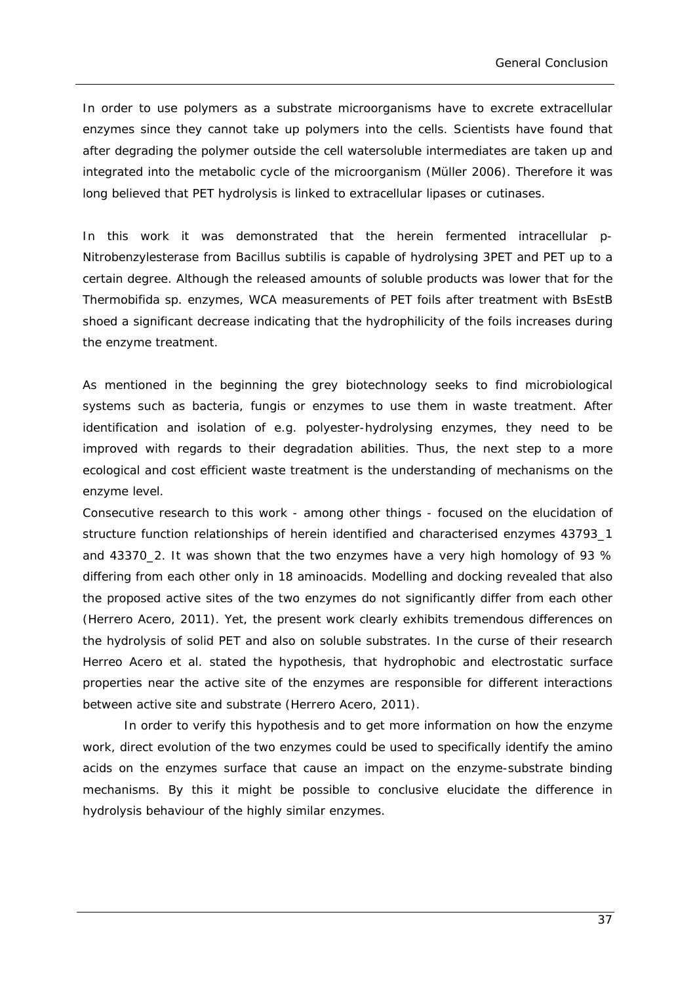In order to use polymers as a substrate microorganisms have to excrete extracellular enzymes since they cannot take up polymers into the cells. Scientists have found that after degrading the polymer outside the cell watersoluble intermediates are taken up and integrated into the metabolic cycle of the microorganism (Müller 2006). Therefore it was long believed that PET hydrolysis is linked to extracellular lipases or cutinases.

In this work it was demonstrated that the herein fermented intracellular *p*-Nitrobenzylesterase from *Bacillus subtilis* is capable of hydrolysing 3PET and PET up to a certain degree. Although the released amounts of soluble products was lower that for the *Thermobifida sp.* enzymes, WCA measurements of PET foils after treatment with BsEstB shoed a significant decrease indicating that the hydrophilicity of the foils increases during the enzyme treatment.

As mentioned in the beginning the grey biotechnology seeks to find microbiological systems such as bacteria, fungis or enzymes to use them in waste treatment. After identification and isolation of e.g. polyester-hydrolysing enzymes, they need to be improved with regards to their degradation abilities. Thus, the next step to a more ecological and cost efficient waste treatment is the understanding of mechanisms on the enzyme level.

Consecutive research to this work - among other things - focused on the elucidation of structure function relationships of herein identified and characterised enzymes 43793\_1 and 43370\_2. It was shown that the two enzymes have a very high homology of 93 % differing from each other only in 18 aminoacids. Modelling and docking revealed that also the proposed active sites of the two enzymes do not significantly differ from each other (Herrero Acero, 2011). Yet, the present work clearly exhibits tremendous differences on the hydrolysis of solid PET and also on soluble substrates. In the curse of their research Herreo Acero *et al.* stated the hypothesis, that hydrophobic and electrostatic surface properties near the active site of the enzymes are responsible for different interactions between active site and substrate (Herrero Acero, 2011).

In order to verify this hypothesis and to get more information on how the enzyme work, direct evolution of the two enzymes could be used to specifically identify the amino acids on the enzymes surface that cause an impact on the enzyme-substrate binding mechanisms. By this it might be possible to conclusive elucidate the difference in hydrolysis behaviour of the highly similar enzymes.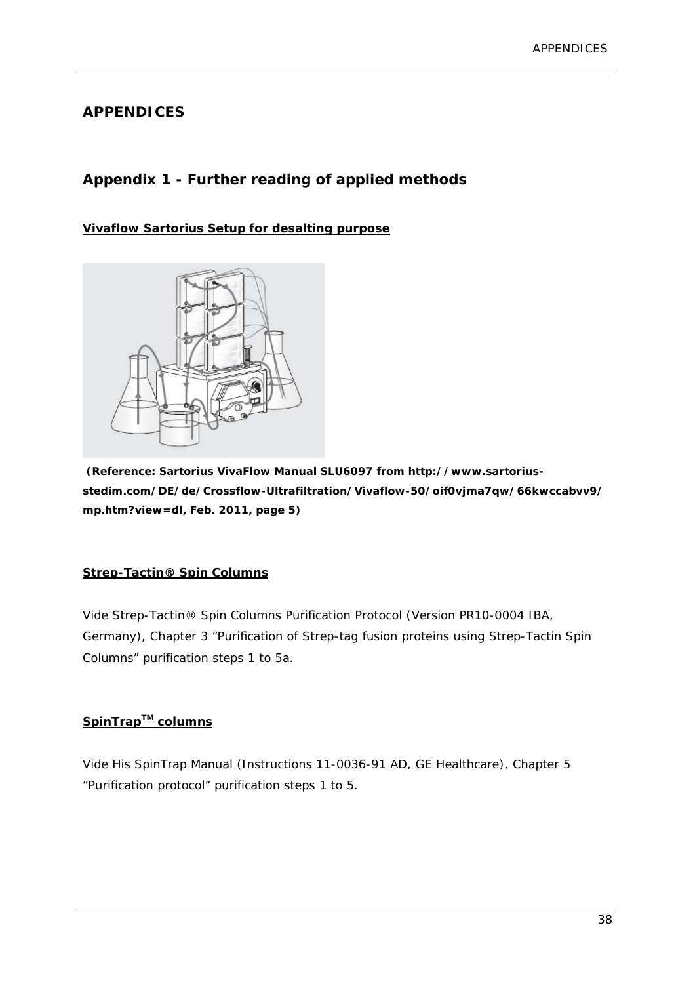### **APPENDICES**

### **Appendix 1 - Further reading of applied methods**

### **Vivaflow Sartorius Setup for desalting purpose**



 **(Reference: Sartorius VivaFlow Manual SLU6097 from http://www.sartoriusstedim.com/DE/de/Crossflow-Ultrafiltration/Vivaflow-50/oif0vjma7qw/66kwccabvv9/ mp.htm?view=dl, Feb. 2011, page 5)** 

#### **Strep-Tactin® Spin Columns**

Vide Strep-Tactin® Spin Columns Purification Protocol (Version PR10-0004 IBA, Germany), Chapter 3 "Purification of Strep-tag fusion proteins using Strep-Tactin Spin Columns" purification steps 1 to 5a.

### **SpinTrapTM columns**

Vide His SpinTrap Manual (Instructions 11-0036-91 AD, GE Healthcare), Chapter 5 "Purification protocol" purification steps 1 to 5.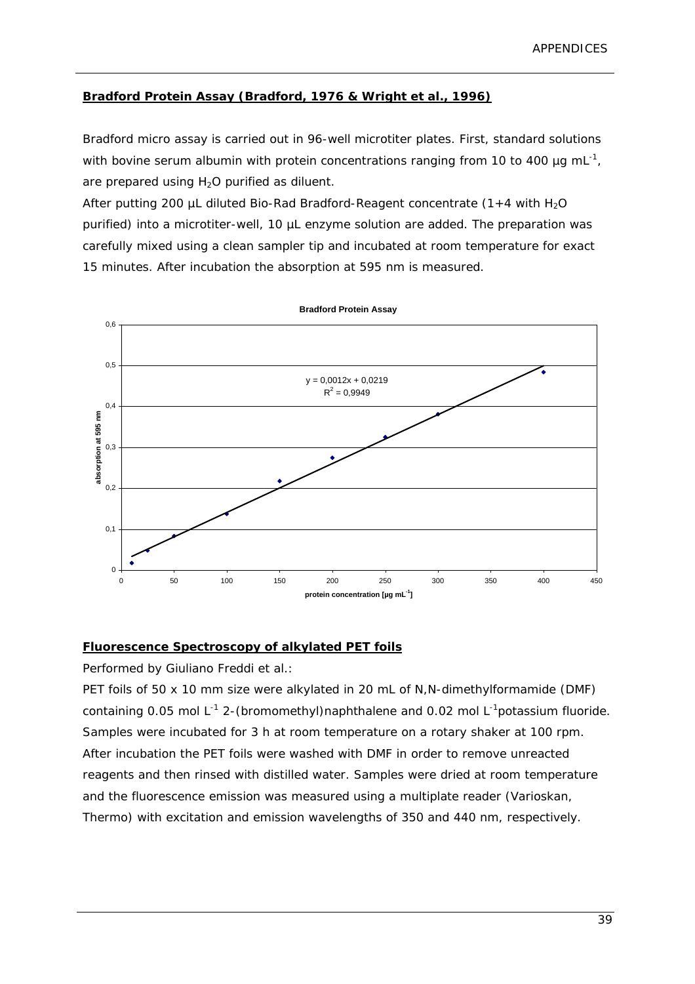### **Bradford Protein Assay (Bradford, 1976 & Wright** *et al.***, 1996)**

Bradford micro assay is carried out in 96-well microtiter plates. First, standard solutions with bovine serum albumin with protein concentrations ranging from 10 to 400  $\mu$ g mL<sup>-1</sup>, are prepared using  $H<sub>2</sub>O$  purified as diluent.

After putting 200 µL diluted Bio-Rad Bradford-Reagent concentrate  $(1+4$  with H<sub>2</sub>O purified) into a microtiter-well, 10 µL enzyme solution are added. The preparation was carefully mixed using a clean sampler tip and incubated at room temperature for exact 15 minutes. After incubation the absorption at 595 nm is measured.



**Fluorescence Spectroscopy of alkylated PET foils** 

Performed by Giuliano Freddi *et al.*:

PET foils of 50 x 10 mm size were alkylated in 20 mL of N,N-dimethylformamide (DMF) containing 0.05 mol  $L^{-1}$  2-(bromomethyl)naphthalene and 0.02 mol  $L^{-1}$ potassium fluoride. Samples were incubated for 3 h at room temperature on a rotary shaker at 100 rpm. After incubation the PET foils were washed with DMF in order to remove unreacted reagents and then rinsed with distilled water. Samples were dried at room temperature and the fluorescence emission was measured using a multiplate reader (Varioskan, Thermo) with excitation and emission wavelengths of 350 and 440 nm, respectively.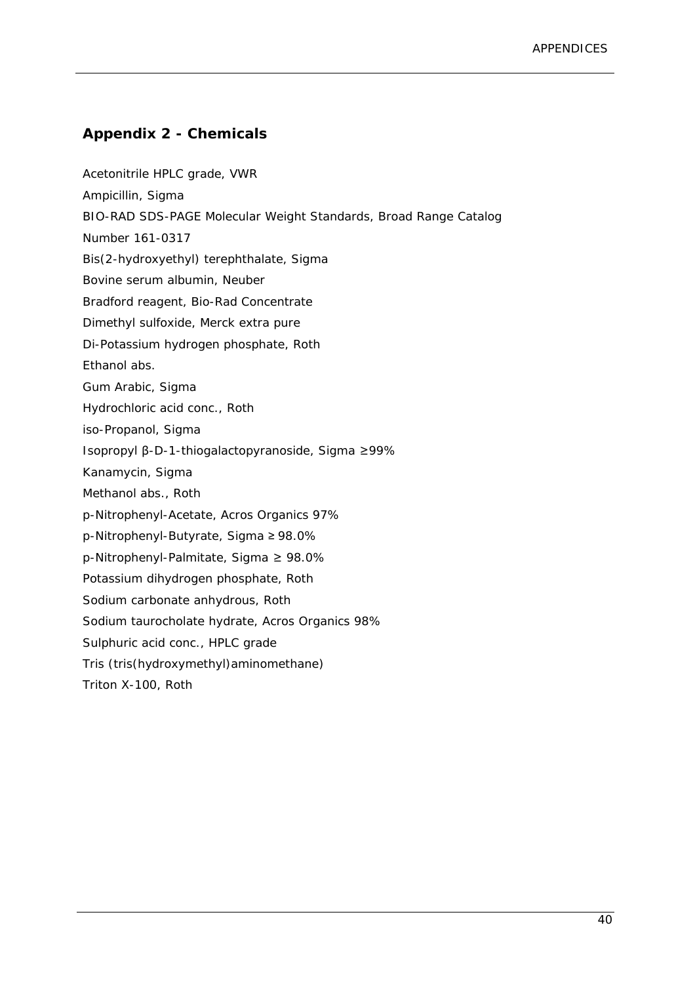### **Appendix 2 - Chemicals**

Acetonitrile HPLC grade, VWR Ampicillin, Sigma BIO-RAD SDS-PAGE Molecular Weight Standards, Broad Range Catalog Number 161-0317 Bis(2-hydroxyethyl) terephthalate, Sigma Bovine serum albumin, Neuber Bradford reagent, Bio-Rad Concentrate Dimethyl sulfoxide, Merck extra pure Di-Potassium hydrogen phosphate, Roth Ethanol abs. Gum Arabic, Sigma Hydrochloric acid conc., Roth iso-Propanol, Sigma Isopropyl β-D-1-thiogalactopyranoside, Sigma ≥99% Kanamycin, Sigma Methanol abs., Roth *p*-Nitrophenyl-Acetate, Acros Organics 97% *p*-Nitrophenyl-Butyrate, Sigma ≥ 98.0% *p*-Nitrophenyl-Palmitate, Sigma ≥ 98.0% Potassium dihydrogen phosphate, Roth Sodium carbonate anhydrous, Roth Sodium taurocholate hydrate, Acros Organics 98% Sulphuric acid conc., HPLC grade Tris (tris(hydroxymethyl)aminomethane) Triton X-100, Roth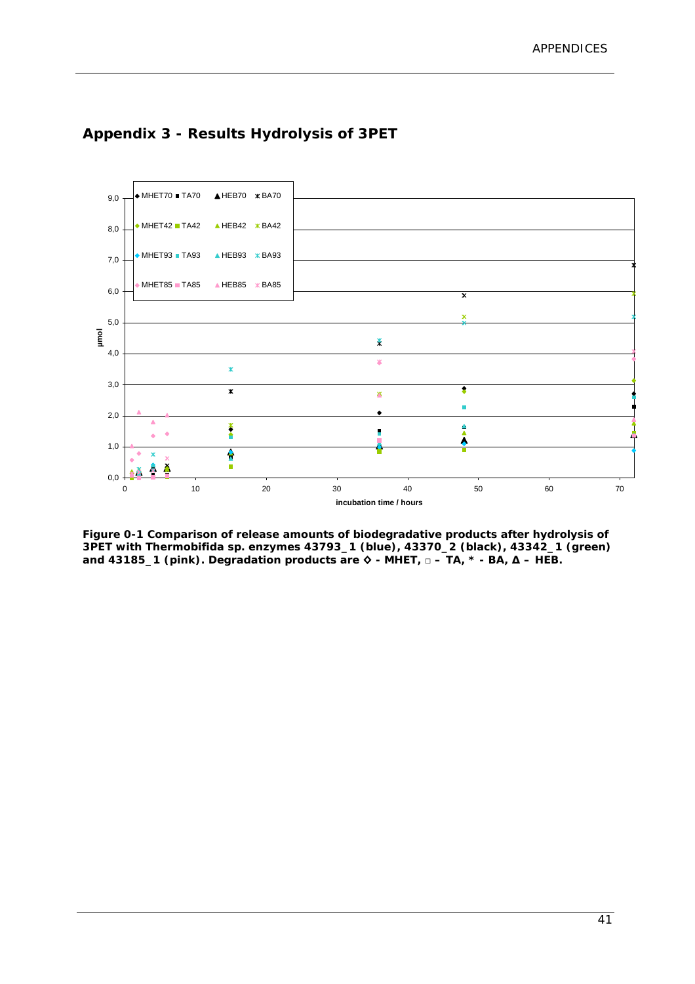

### **Appendix 3 - Results Hydrolysis of 3PET**

**Figure 0-1 Comparison of release amounts of biodegradative products after hydrolysis of 3PET with** *Thermobifida sp.* **enzymes 43793\_1 (blue), 43370\_2 (black), 43342\_1 (green) and 43185\_1 (pink). Degradation products are ◊ - MHET, □ – TA, \* - BA, ∆ – HEB.**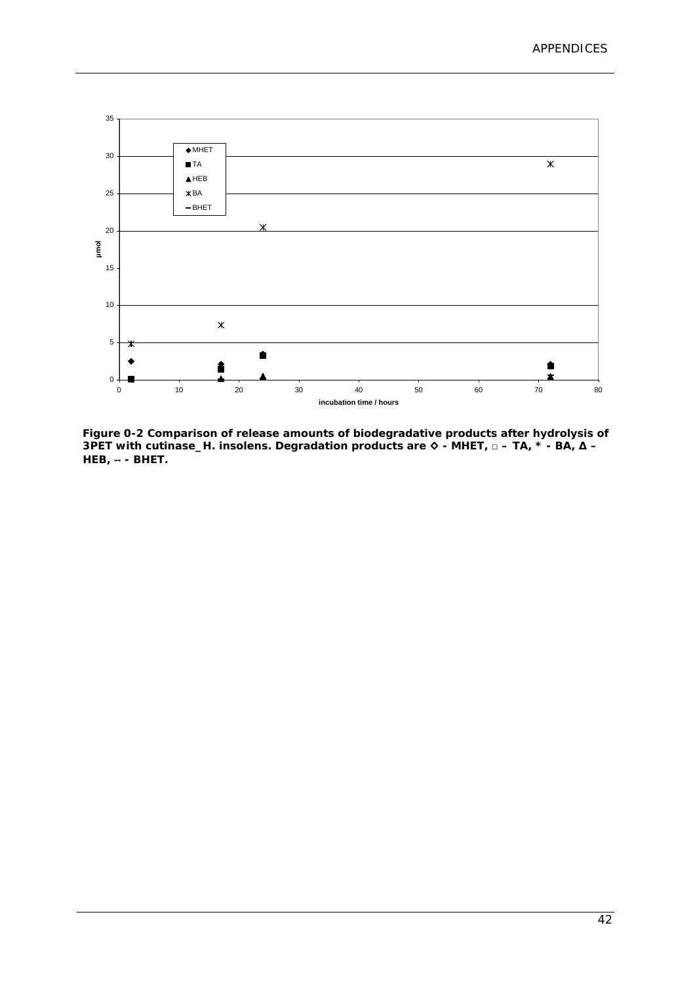

**Figure 0-2 Comparison of release amounts of biodegradative products after hydrolysis of 3PET with cutinase\_H. insolens. Degradation products are ◊ - MHET, □ – TA, \* - BA, ∆ – HEB,** -- **- BHET.**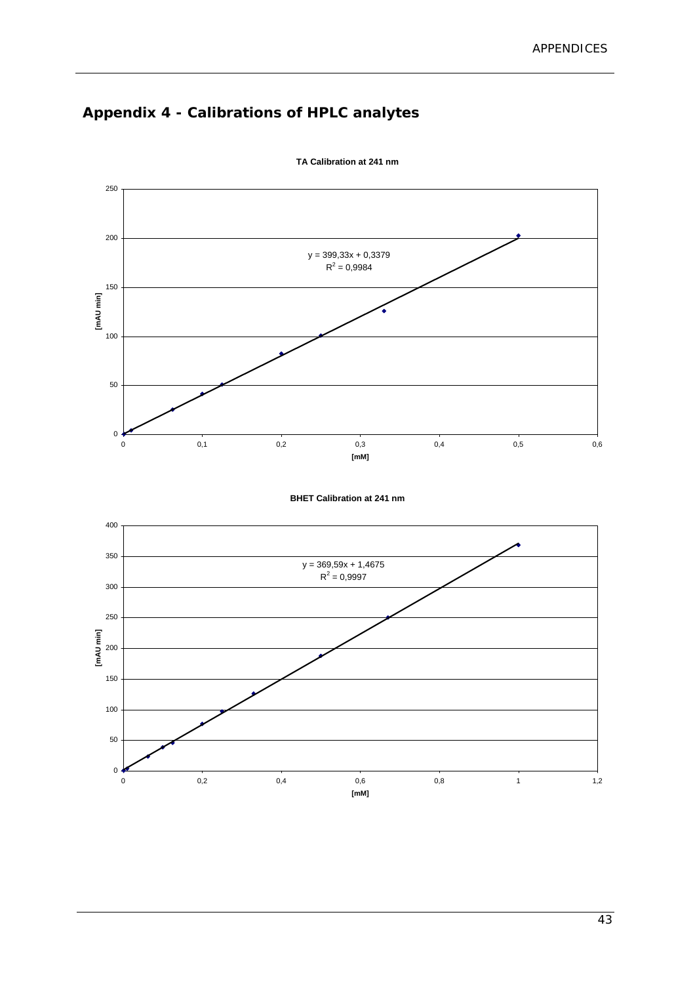# **Appendix 4 - Calibrations of HPLC analytes**



**TA Calibration at 241 nm**

**BHET Calibration at 241 nm**

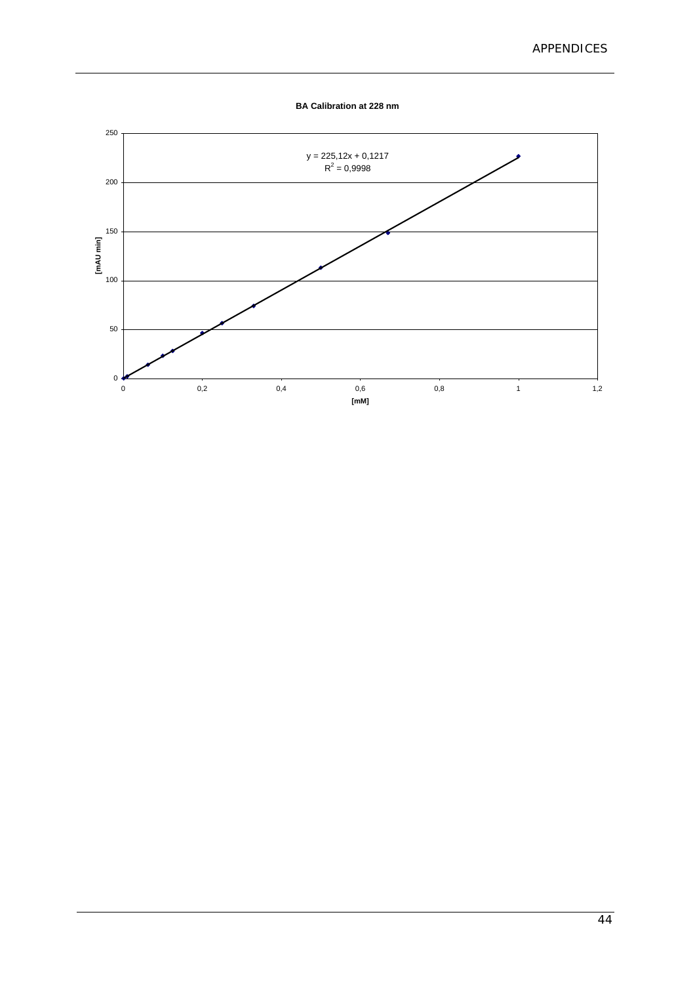**BA Calibration at 228 nm**

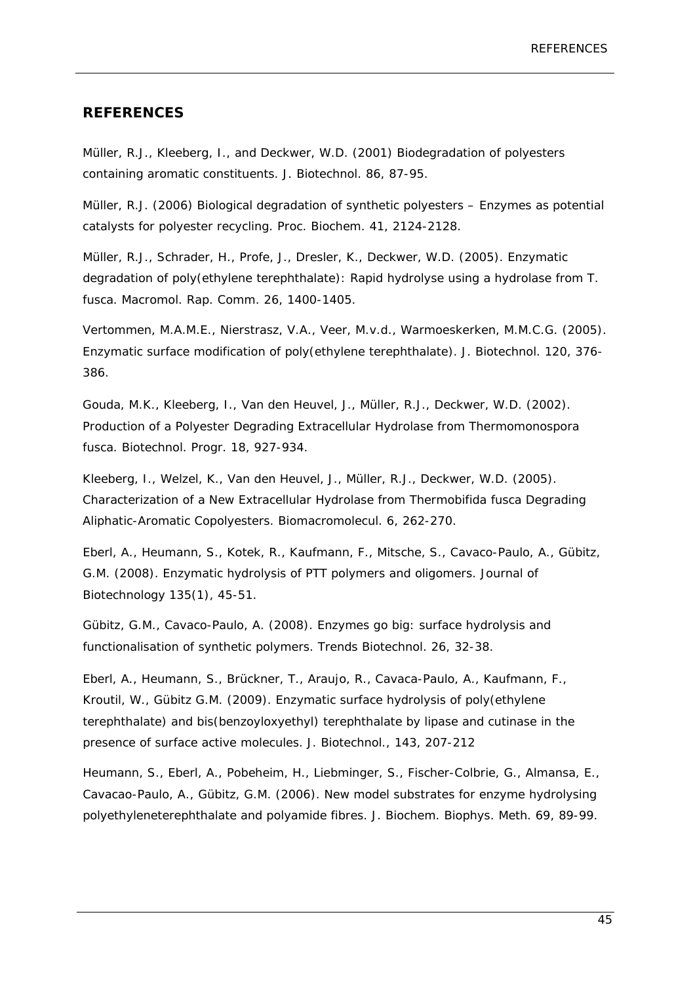#### **REFERENCES**

Müller, R.J., Kleeberg, I., and Deckwer, W.D. (2001) Biodegradation of polyesters containing aromatic constituents*. J. Biotechnol.* 86, 87-95.

Müller, R.J. (2006) Biological degradation of synthetic polyesters – Enzymes as potential catalysts for polyester recycling. *Proc. Biochem*. 41, 2124-2128.

Müller, R.J., Schrader, H., Profe, J., Dresler, K., Deckwer, W.D. (2005). Enzymatic degradation of poly(ethylene terephthalate): Rapid hydrolyse using a hydrolase from *T. fusca. Macromol. Rap. Comm*. 26, 1400-1405.

Vertommen, M.A.M.E., Nierstrasz, V.A., Veer, M.v.d., Warmoeskerken, M.M.C.G. (2005). Enzymatic surface modification of poly(ethylene terephthalate). *J. Biotechnol.* 120, 376- 386.

Gouda, M.K., Kleeberg, I., Van den Heuvel, J., Müller, R.J., Deckwer, W.D. (2002). Production of a Polyester Degrading Extracellular Hydrolase from *Thermomonospora fusca. Biotechnol. Progr.* 18, 927-934.

Kleeberg, I., Welzel, K., Van den Heuvel, J., Müller, R.J., Deckwer, W.D. (2005). Characterization of a New Extracellular Hydrolase from Thermobifida fusca Degrading Aliphatic-Aromatic Copolyesters. *Biomacromolecul.* 6, 262-270.

Eberl, A., Heumann, S., Kotek, R., Kaufmann, F., Mitsche, S., Cavaco-Paulo, A., Gübitz, G.M. (2008). Enzymatic hydrolysis of PTT polymers and oligomers. J*ournal of Biotechnology* 135(1), 45-51.

Gübitz, G.M., Cavaco-Paulo, A. (2008). Enzymes go big: surface hydrolysis and functionalisation of synthetic polymers. *Trends Biotechnol.* 26, 32-38.

Eberl, A., Heumann, S., Brückner, T., Araujo, R., Cavaca-Paulo, A., Kaufmann, F., Kroutil, W., Gübitz G.M. (2009). Enzymatic surface hydrolysis of poly(ethylene terephthalate) and bis(benzoyloxyethyl) terephthalate by lipase and cutinase in the presence of surface active molecules. *J. Biotechnol*., 143, 207-212

Heumann, S., Eberl, A., Pobeheim, H., Liebminger, S., Fischer-Colbrie, G., Almansa, E., Cavacao-Paulo, A., Gübitz, G.M. (2006). New model substrates for enzyme hydrolysing polyethyleneterephthalate and polyamide fibres*. J. Biochem. Biophys. Meth*. 69, 89-99.